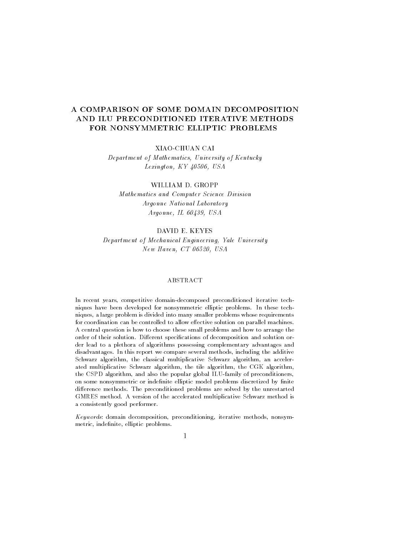# AND ILU PRECONDITIONED ITERATIVE METHODS FOR NONSYMMETRIC ELLIPTIC PROBLEMS

# XIAO-CHUAN CAI

Department of Mathematics, University of Kentucky Lexington KY -- USA

WILLIAM D. GROPP Mathematics and Computer Science Division Argonne National Laboratory Argonne IL - USA

# DAVID E. KEYES Department of Mechanical Engineering Yale University

New Haven CT -- USA

#### ABSTRACT

In recent years, competitive domain-decomposed preconditioned iterative techniques have been developed for nonsymmetric elliptic problems- In these tech niques a large problem is divided into many smaller problems whose requirements for coordination can be controlled to allow effective solution on parallel machines. A central question is how to choose these small problems and how to arrange the order of their solution- Dierent specications of decomposition and solution or der lead to a plethora of algorithms possessing complementary advantages and disadvantages- In this report we compare several methods including the additive Schwarz algorithm, the classical multiplicative Schwarz algorithm, an accelerated multiplicative Schwarz algorithm, the tile algorithm, the CGK algorithm, the CSPD algorithm, and also the popular global ILU-family of preconditioners, on some nonsymmetric or indefinite elliptic model problems discretized by finite dierence methods- The preconditioned problems are solved by the unrestarted GMRES method- A version of the accelerated multiplicative Schwarz method is a consistently good performer.

Keywords: domain decomposition, preconditioning, iterative methods, nonsymmetric, indefinite, elliptic problems.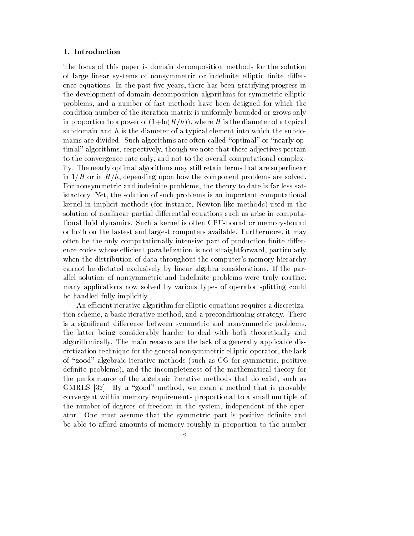# 1. Introduction

The focus of this paper is domain decomposition methods for the solution of large linear systems of nonsymmetric or indenite elliptic nite di-er ence equations. In the past five years, there has been gratifying progress in the development of domain decomposition algorithms for symmetric elliptic problems, and a number of fast methods have been designed for which the condition number of the iteration matrix is uniformly bounded or grows only in proportion to a power of  $(1+\ln(H/h))$ , where H is the diameter of a typical subdomain and h is the diameter of a typical element into which the subdomains are divided Such algorithms are often called optimal or nearly op time respectively the processes and the though we note that the second complete the pertainers of the second c to the convergence rate only and not to the overall computational complex ity. The nearly optimal algorithms may still retain terms that are superlinear in  $1/H$  or in  $H/h$ , depending upon how the component problems are solved. For nonsymmetric and indefinite problems, the theory to date is far less satisfactory. Yet, the solution of such problems is an important computational kernel in implicit methods (for instance, Newton-like methods) used in the erential erential particles in constructions such as areas in computations such as areas in computations of th tional fluid dynamics. Such a kernel is often CPU-bound or memory-bound or both on the fastest and largest computers available. Furthermore, it may often be the only computationally intensive part of production nite di-er ence codes whose efficient parallelization is not straightforward, particularly when the distribution of data throughout the computer's memory hierarchy cannot be dictated exclusively by linear algebra considerations If the par allel solution of nonsymmetric and indefinite problems were truly routine, many applications now solved by various types of operator splitting could be handled fully implicitly

An efficient iterative algorithm for elliptic equations requires a discretization scheme, a basic iterative method, and a preconditioning strategy. There er a significant difference between symmetric and nonsymmetric problems, the the latter being considerably harder to deal with both theoretically and algorithmically. The main reasons are the lack of a generally applicable discretization technique for the general nonsymmetric elliptic operator the lack of good algebraic iterative methods such as CG for symmetric positive definite problems), and the incompleteness of the mathematical theory for the performance of the algebraic iterative methods that do exist, such as GMRES By a good method we mean a method that is provably convergent within memory requirements proportional to a small multiple of the number of degrees of freedom in the system independent of the oper ator. One must assume that the symmetric part is positive definite and be able to a-ord amounts of memory roughly in proportion to the number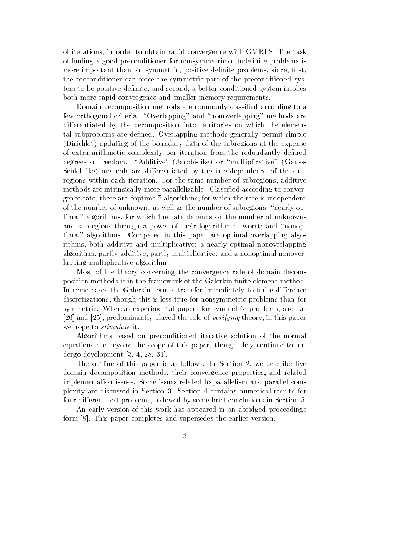of iterations in order to obtain rapid convergence with GMRES The task of finding a good preconditioner for nonsymmetric or indefinite problems is more important than for symmetric, positive definite problems, since, first, the preconditioner can force the symmetric part of the preconditioned sys tem to be positive definite, and second, a better-conditioned system implies both more rapid convergence and smaller memory requirements

Domain decomposition methods are commonly classified according to a few orthogonal criteria Overlapping and nonoverlapping methods are di-erentiated by the decomposition into territories on which the elemen tal subproblems are defined. Overlapping methods generally permit simple (Dirichlet) updating of the boundary data of the subregions at the expense of extra arithmetic complexity per iteration from the redundantly defined degrees of freedom  $\mathcal{A}$  and  $\mathcal{A}$  and  $\mathcal{A}$  are  $\mathcal{A}$  and  $\mathcal{A}$  and  $\mathcal{A}$  are  $\mathcal{A}$  and  $\mathcal{A}$  are  $\mathcal{A}$  and  $\mathcal{A}$  and  $\mathcal{A}$  are  $\mathcal{A}$  and  $\mathcal{A}$  and  $\mathcal{A}$  are  $\mathcal{A}$  and  $\mathcal{A}$ Seidellike methods are di-erentiated by the interdependence of the sub regions within each iteration. For the same number of subregions, additive methods are intrinsically more parallelizable. Classified according to conver- $\mathbf{r}$ of the number of unknowns as well as the number of subregions; "nearly optimal algorithms for which the rate depends on the number of unknowns and subregions through a power of their logarithm at worst; and "nonoptimal algorithms Compared in this paper are optimal overlapping algo rithms, both additive and multiplicative; a nearly optimal nonoverlapping algorithm, partly additive, partly multiplicative; and a nonoptimal nonoverlapping multiplicative algorithm

Most of the theory concerning the convergence rate of domain decom position methods is in the framework of the Galerkin finite element method. In some cases the Galerkin results transfer immediately to nite di-erence discretizations, though this is less true for nonsymmetric problems than for symmetric. Whereas experimental papers for symmetric problems, such as [20] and [25], predominantly played the role of *verifying* theory, in this paper we hope to *stimulate* it.

Algorithms based on preconditioned iterative solution of the normal equations are beyond the scope of this paper, though they continue to undergo development  $[3, 4, 28, 31]$ .

The outline of this paper is as follows. In Section 2, we describe five domain decomposition methods, their convergence properties, and related implementation issues Some issues related to parallelism and parallel com plexity are discussed in Section 3. Section 4 contains numerical results for four di-erent test problems followed by some brief conclusions in Section

An early version of this work has appeared in an abridged proceedings form  $[8]$ . This paper completes and supersedes the earlier version.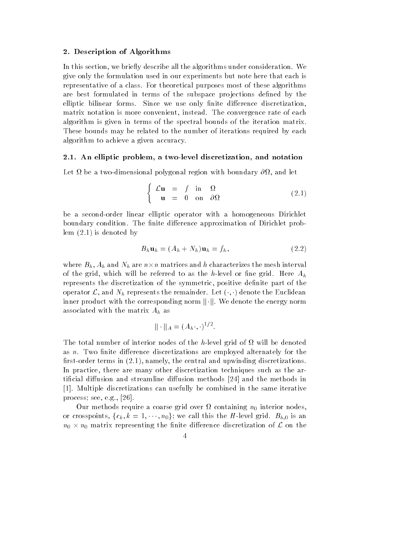### - Description of Algorithms and Algorithms and Algorithms are algorithms of Algorithms and Algorithms and Algorithms are algorithms and Algorithms are algorithms and Algorithms are algorithms are algorithms and Algorithms

In this section, we briefly describe all the algorithms under consideration. We give only the formulation used in our experiments but note here that each is representative of a class. For theoretical purposes most of these algorithms are best formulated in terms of the subspace projections defined by the elliptic bilinear forms Since we use only nite di-erence discretization matrix notation is more convenient, instead. The convergence rate of each algorithm is given in terms of the spectral bounds of the iteration matrix These bounds may be related to the number of iterations required by each algorithm to achieve a given accuracy

#### - An elliptic problem a twolevel discretization and notation

Let  $\Omega$  be a two-dimensional polygonal region with boundary  $\partial\Omega$ , and let

$$
\begin{cases}\n\mathcal{L}\mathbf{u} = f \text{ in } \Omega \\
\mathbf{u} = 0 \text{ on } \partial\Omega\n\end{cases}
$$
\n(2.1)

be a second-order linear elliptic operator with a homogeneous Dirichlet erence approximation The nite distribution of  $\mathbb{P}^1$  problems in the modern problem of  $\mathbb{P}^1$ lem  $(2.1)$  is denoted by

$$
B_h \mathbf{u}_h = (A_h + N_h) \mathbf{u}_h = f_h, \tag{2.2}
$$

where  $B_h$ ,  $A_h$  and  $N_h$  are  $n \times n$  matrices and h characterizes the mesh interval of the grid, which will be referred to as the h-level or fine grid. Here  $A_h$ represents the discretization of the symmetric, positive definite part of the operator  $\mathcal{L},$  and  $N_h$  represents the remainder. Let  $(\cdot,\cdot)$  denote the Euclidean inner product with the corresponding norm  $\|\cdot\|$ . We denote the energy norm associated with the matrix  $A_h$  as

$$
\|\cdot\|_A = (A_h \cdot, \cdot)^{1/2}.
$$

The total number of interior nodes of the h-level grid of  $\Omega$  will be denoted as n Two nite di-erence discretizations are employed alternately for the first-order terms in  $(2.1)$ , namely, the central and upwinding discretizations. In practice, there are many other discretization techniques such as the articial di-usion and streamline di-usion methods in the methods in the methods in the methods in [1]. Multiple discretizations can usefully be combined in the same iterative process; see, e.g.,  $[26]$ .

Our methods require a coarse grid over containing n- interior nodes or crosspoints,  $\{c_k, k = 1, \cdots, n_0\}$ ; we call this the H-level grid.  $B_{h,0}$  is an  $n_0 \times n_0$  matrix representing the finite difference discretization of  $\mathcal L$  on the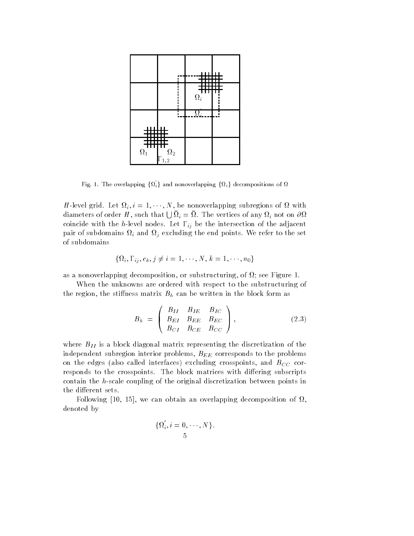

Fig. 1. The overlapping  $\{\Omega_i\}$  and nonoverlapping  $\{\Omega_i\}$  decompositions of  $\Omega$ 

 $H$ -level grid. Let  $u_i, i = 1, \cdots, N$ , be nonoverlapping subregions of  $u$  with diameters of order H, such that  $\bigcup \Omega_i = \Omega$ . The vertices of any  $\Omega_i$  not on  $\partial \Omega$ coincide with the h-level nodes. Let  $\Gamma_{ij}$  be the intersection of the adjacent pair of subdomains  $\Omega_i$  and  $\Omega_j$  excluding the end points. We refer to the set of subdomains

$$
\{\Omega_i, \Gamma_{ij}, c_k, j \neq i = 1, \cdots, N, k = 1, \cdots, n_0\}
$$

as a nonoverlapping decomposition, or substructuring, of  $\Omega$ ; see Figure 1.

When the unknowns are ordered with respect to the substructuring of the region the sti-ness matrix Bh can be written in the block form as

$$
B_h = \begin{pmatrix} B_{II} & B_{IE} & B_{IC} \\ B_{EI} & B_{EE} & B_{EC} \\ B_{CI} & B_{CE} & B_{CC} \end{pmatrix},\tag{2.3}
$$

where  $B_{II}$  is a block diagonal matrix representing the discretization of the independent subregion interior problems,  $B_{EE}$  corresponds to the problems on the edges (also called interfaces) excluding crosspoints, and  $B_{CC}$  corresponds to the crosspoints The block matrices with di-ering subscripts contain the  $h$ -scale coupling of the original discretization between points in

Following [10, 15], we can obtain an overlapping decomposition of  $\Omega$ . denoted by

$$
\{\Omega_i^{'}, i=0,\cdots,N\}.
$$
5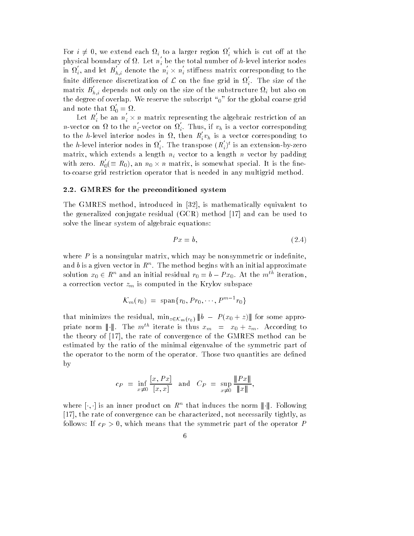For  $i \neq 0$ , we extend each  $\Omega_i$  to a larger region  $\Omega_i$  which is cut off at the physical boundary of Ω. Let  $n_i$  be the total number of h-level interior nodes in  $\Omega_i,$  and let  $B_{h,i}$  denote the  $n_i \times n_i$  stiffness matrix corresponding to the finite difference discretization of  ${\cal L}$  on the fine grid in  $\Omega_i.$  The size of the matrix  $B_{h,i}$  depends not only on the size of the substructure  $\Omega_i$  but also on the degree of overlap We reserve the subscript - for the global coarse grid and note that  $\Omega_0 = \Omega$ .

Let  $R_i$  be an  $n_i \times n$  matrix representing the algebraic restriction of an *n*-vector on  $\Omega$  to the *n*<sub>i</sub>-vector on  $\Omega$ <sub>i</sub>. Thus, if  $v_h$  is a vector corresponding to the h-level interior nodes in  $\Omega$ , then  $R_i v_h$  is a vector corresponding to the h-level interior nodes in  $\Omega_i$ . The transpose  $(R_i)^t$  is an extension-by-zero matrix, which extends a length  $n_i$  vector to a length n vector by padding with zero.  $R_0(\equiv R_0)$ , an  $n_0 \times n$  matrix, is somewhat special. It is the fineto-coarse grid restriction operator that is needed in any multigrid method.

## -- GMRES for the preconditioned system

The GMRES method, introduced in [32], is mathematically equivalent to the generalized conjugate residual  $(GCR)$  method [17] and can be used to solve the linear system of algebraic equations

$$
Px = b,\tag{2.4}
$$

where  $P$  is a nonsingular matrix, which may be nonsymmetric or indefinite, and  $\theta$  is a given vector in  $R^+$  . The method begins with an initial approximate solution  $x_0 \in R^n$  and an initial residual  $r_0 = b - Px_0$ . At the  $m^m$  iteration, a correction vector  $z_m$  is computed in the Krylov subspace

$$
{\cal K}_m(r_0) \;=\; \text{span}\{r_0, Pr_0, \cdots, P^{m-1}r_0\}
$$

that minimizes the residual,  $\min_{z \in \mathcal{K}_m(r_0)} ||b - P(x_0 + z)||$  for some appropriate norm ||. The  $m^{th}$  iterate is thus  $x_m = x_0 + z_m$ . According to the theory of  $\left[17\right]$ , the rate of convergence of the GMRES method can be estimated by the ratio of the minimal eigenvalue of the symmetric part of the operator to the norm of the operator. Those two quantities are defined by

$$
c_P = \inf_{x \neq 0} \frac{[x, Px]}{[x, x]}
$$
 and  $C_P = \sup_{x \neq 0} \frac{\|Px\|}{\|x\|}$ ,

where  $[\cdot, \cdot]$  is an inner product on  $\mathbb{R}^n$  that induces the norm  $\|\cdot\|$ . Following  $\left[17\right]$ , the rate of convergence can be characterized, not necessarily tightly, as follows: If  $c_P > 0$ , which means that the symmetric part of the operator P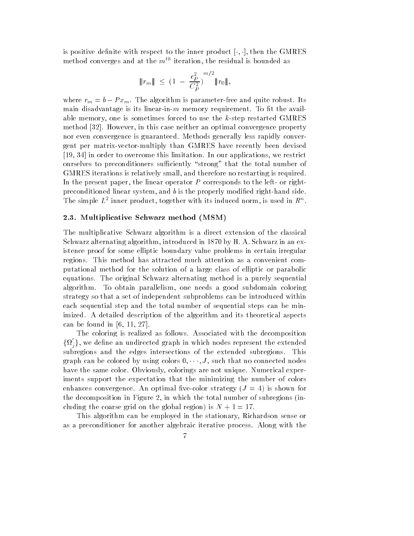is positive definite with respect to the inner product  $[\cdot, \cdot]$ , then the GMRES method converges and at the  $m^{th}$  iteration, the residual is bounded as

$$
\|r_m\| \ \leq \ (1 \ - \ \frac{c_P^2}{C_P^2})^{m/2} \|r_0\|,
$$

where  $r_m = b - Px_m$ . The algorithm is parameter-free and quite robust. Its main disadvantage is its linear-in- $m$  memory requirement. To fit the available memory, one is sometimes forced to use the  $k$ -step restarted GMRES method [32]. However, in this case neither an optimal convergence property nor even convergence is guaranteed. Methods generally less rapidly convergent per matrix-vector-multiply than GMRES have recently been devised  $[19, 34]$  in order to overcome this limitation. In our applications, we restrict ourselves to preconditioners suciently strong that the total number of GMRES iterations is relatively small, and therefore no restarting is required. In the present paper, the linear operator  $P$  corresponds to the left- or rightpreconditioned linear system, and  $b$  is the properly modified right-hand side. I he simple  $L^-$  inner product, together with its induced norm, is used in  $R^-$ .

## - Multiplicative Schwarz method MSM

The multiplicative Schwarz algorithm is a direct extension of the classical Schwarz alternating algorithm, introduced in 1870 by H. A. Schwarz in an existence proof for some elliptic boundary value problems in certain irregular regions. This method has attracted much attention as a convenient computational method for the solution of a large class of elliptic or parabolic equations. The original Schwarz alternating method is a purely sequential algorithm. To obtain parallelism, one needs a good subdomain coloring strategy so that a set of independent subproblems can be introduced within each sequential step and the total number of sequential steps can be min imized. A detailed description of the algorithm and its theoretical aspects can be found in  $[6, 11, 27]$ .

The coloring is realized as follows. Associated with the decomposition  $\{\Omega^{'}_{i}\}$ , we define an undirected graph in which nodes represent the extended subregions and the edges intersections of the extended subregions. This graph can be colored by using colors  $0, \cdots, J$  , such that no connected nodes have the same color. Obviously, colorings are not unique. Numerical experiments support the expectation that the minimizing the number of colors enhances convergence. An optimal five-color strategy  $(J = 4)$  is shown for the decomposition in Figure 2, in which the total number of subregions (including the coarse grid on the global region) is  $N + 1 = 17$ .

This algorithm can be employed in the stationary, Richardson sense or as a preconditioner for another algebraic iterative process Along with the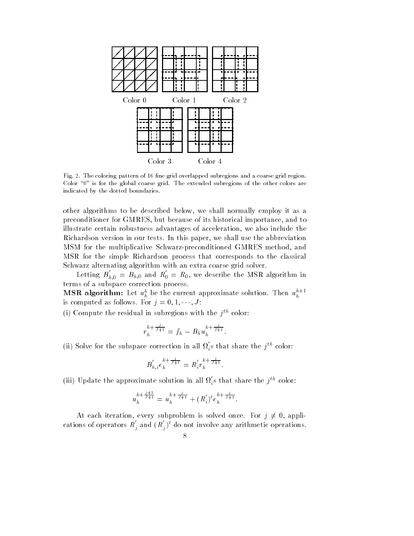

Fig- - The coloring pattern of ne grid overlapped subregions and a coarse grid region- $\mathbf{f}$  is for the global colors are global colors are grid-dimensions of the other colors are global colors are global colors are global colors are global colors are global colors are global colors are global colors are indicated by the dotted boundaries.

other algorithms to be described below, we shall normally employ it as a preconditioner for GMRES, but because of its historical importance, and to illustrate certain robustness advantages of acceleration we also include the Richardson version in our tests. In this paper, we shall use the abbreviation MSM for the multiplicative Schwarz-preconditioned GMRES method, and MSR for the simple Richardson process that corresponds to the classical Schwarz alternating algorithm with an extra coarse grid solver.

Letting  $B_{h,0} = B_{h,0}$  and  $R_0 = R_0$  $\sigma$  are described the model magnetism in terms of a subspace correction process

MSR algorithm: Let  $u_h^{\ast}$  be the current approximate solution. Then  $u_h^{\ast +}$ is computed as follows. For  $j = 0, 1, \dots, J$ .

(1) Compute the residual in subregions with the  $\gamma$  color:

$$
r_h^{k + \frac{j}{J+1}} = f_h - B_h u_h^{k + \frac{j}{J+1}}.
$$

(ii) Solve for the subspace correction in all  $\Omega_i$ s that share the  $j^{th}$  color:

$$
B_{h,i}'e_h^{k+\frac{j}{J+1}} = R_i' r_h^{k+\frac{j}{J+1}}.
$$

(iii) Update the approximate solution in all  $\Omega_i$ s that share the  $j^{th}$  color:

$$
u_h^{k+\frac{j+1}{J+1}} = u_h^{k+\frac{j}{J+1}} + (R_i')^t e_h^{k+\frac{j}{J+1}}.
$$

At each iteration, every subproblem is solved once. For  $j \neq 0$ , applications of operators  $R_j$  and  $(R_j)^t$  do not involve any arithmetic operations.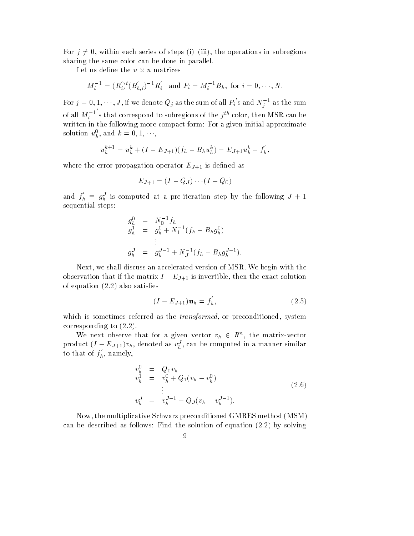For  $j \neq 0$ , within each series of steps (i)–(iii), the operations in subregions sharing the same color can be done in parallel

Let us define the  $n \times n$  matrices

$$
M_i^{-1} = (R'_i)^t (B'_{h,i})^{-1} R'_i \text{ and } P_i = M_i^{-1} B_h, \text{ for } i = 0, \cdots, N.
$$

For  $j = 0, 1, \cdots, J$ , if we denote  $Q_j$  as the sum of all  $P_i$  s and  $N_j^{-1}$  as the sum of all  $M_i$  's t  $s$  that correspond to subregions of the  $\gamma-$  color, then MSR can be written in the following more compact form Form  $\alpha$  ,  $\alpha$  and the approximate  $\alpha$ solution  $u_{\tilde{h}}$ , and  $\kappa = 0, 1, \cdot \cdot \cdot,$ 

$$
u_h^{k+1} = u_h^k + (I - E_{J+1})(f_h - B_h u_h^k) = E_{J+1} u_h^k + f_h',
$$

where the error propagation operator  $E_{J+1}$  is defined as

$$
E_{J+1} = (I - Q_J) \cdots (I - Q_0)
$$

and  $f_h \equiv g_h^j$  is computed at a pre-iteration step by the following  $J+1$ sequential steps

$$
g_h^0 = N_0^{-1} f_h
$$
  
\n
$$
g_h^1 = g_h^0 + N_1^{-1} (f_h - B_h g_h^0)
$$
  
\n
$$
\vdots
$$
  
\n
$$
g_h^J = g_h^{J-1} + N_J^{-1} (f_h - B_h g_h^{J-1}).
$$

Next, we shall discuss an accelerated version of MSR. We begin with the observation that if the matrix  $I - E_{J+1}$  is invertible, then the exact solution of equation  $(2.2)$  also satisfies

$$
(I - E_{J+1})\mathbf{u}_h = f'_h,\tag{2.5}
$$

which is sometimes referred as the *transformed*, or preconditioned, system corresponding to  $(2.2)$ .

We next observe that for a given vector  $v_h \in R^n$ , the matrix-vector product  $(I - LJ_{+1})v_h$ , denoted as  $v_h$ , can be computed in a manner similar to that of  $f_h$ , namely,

$$
v_h^0 = Q_0 v_h
$$
  
\n
$$
v_h^1 = v_h^0 + Q_1 (v_h - v_h^0)
$$
  
\n
$$
\vdots
$$
  
\n
$$
v_h^J = v_h^{J-1} + Q_J (v_h - v_h^{J-1}).
$$
\n(2.6)

Now, the multiplicative Schwarz preconditioned GMRES method (MSM) can be described as follows: Find the solution of equation  $(2.2)$  by solving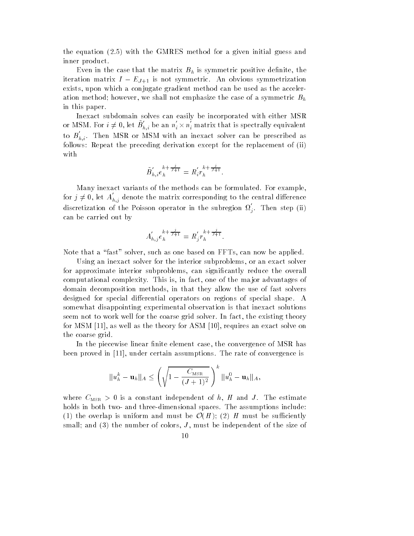the equation  $(2.5)$  with the GMRES method for a given initial guess and inner product

Even in the case that the matrix  $B_h$  is symmetric positive definite, the iteration matrix  $I - E_{J+1}$  is not symmetric. An obvious symmetrization exists, upon which a conjugate gradient method can be used as the acceleration method; however, we shall not emphasize the case of a symmetric  $B_h$ in this paper

Inexact subdomain solves can easily be incorporated with either MSR or MSM. For  $i \neq 0$ , let  $B_{h,i}$  be an  $n_i \times n_i$  matrix that is spectrally equivalent to  $B_{h,i}$ . Then MSR or MSM with an inexact solver can be prescribed as follows: Repeat the preceding derivation except for the replacement of (ii) with

$$
\tilde{B}_{h,i}'e_h^{k+\frac{j}{J+1}} = R_i' r_h^{k+\frac{j}{J+1}}.
$$

Many inexact variants of the methods can be formulated. For example, for  $j \neq 0$ , let  $A_{h,j}$  denote the matrix corresponding to the central difference discretization of the Poisson operator in the subregion  $\Omega_j$ . Then step (ii) can be carried out by

$$
A'_{h,j}e_h^{k+\frac{j}{J+1}} = R'_j r_h^{k+\frac{j}{J+1}}.
$$

Note that a fast solver such as one based on FFTs can now be applied

Using an inexact solver for the interior subproblems, or an exact solver for approximate interior subproblems, can significantly reduce the overall computational complexity. This is, in fact, one of the major advantages of domain decomposition methods in that they allow the use of fast solvers designed for special di-erential operators on regions of special shape A somewhat disappointing experimental observation is that inexact solutions seem not to work well for the coarse grid solver. In fact, the existing theory for MSM  $[11]$ , as well as the theory for ASM  $[10]$ , requires an exact solve on the coarse grid

In the piecewise linear finite element case, the convergence of MSR has been proved in  $[11]$ , under certain assumptions. The rate of convergence is

$$
||u_h^k - \mathbf{u}_h||_A \le \left(\sqrt{1 - \frac{C_{\text{MSR}}}{(J+1)^2}}\right)^k ||u_h^0 - \mathbf{u}_h||_A,
$$

where  $C_{\text{MSR}} > 0$  is a constant independent of h, H and J. The estimate holds in both two- and three-dimensional spaces. The assumptions include: (1) the overlap is uniform and must be  $\mathcal{O}(H)$ ; (2) H must be sufficiently small; and  $(3)$  the number of colors, J, must be independent of the size of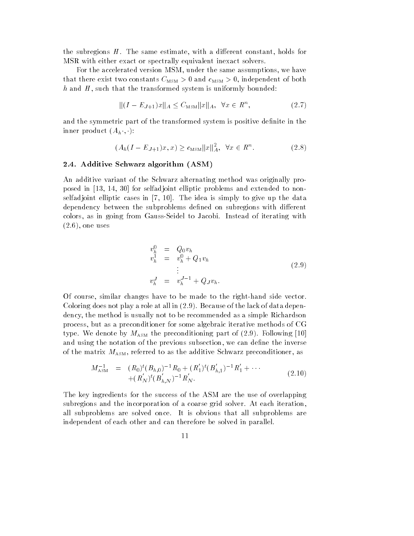the subregions H The same estimate with a di-erent constant holds for MSR with either exact or spectrally equivalent inexact solvers

For the accelerated version MSM, under the same assumptions, we have that there exist two constants  $C_{\text{MSM}} > 0$  and  $c_{\text{MSM}} > 0$ , independent of both h and  $H$ , such that the transformed system is uniformly bounded:

$$
||(I - E_{J+1})x||_A \le C_{\text{MSM}} ||x||_A, \quad \forall x \in R^n,
$$
\n(2.7)

and the symmetric part of the transformed system is positive definite in the inner product  $(A_h,\cdot)$ .

$$
(A_h(I - E_{J+1})x, x) \ge c_{\text{MSM}} \|x\|_A^2, \ \forall x \in R^n. \tag{2.8}
$$

## $\mathbf{A}$  and  $\mathbf{A}$  are set of  $\mathbf{A}$  and  $\mathbf{A}$  are set of  $\mathbf{A}$  and  $\mathbf{A}$  are set of  $\mathbf{A}$  and  $\mathbf{A}$  are set of  $\mathbf{A}$  and  $\mathbf{A}$  are set of  $\mathbf{A}$  and  $\mathbf{A}$  are set of  $\mathbf{A}$  and  $\mathbf{A}$  a

An additive variant of the Schwarz alternating method was originally pro posed in  $[13, 14, 30]$  for selfadjoint elliptic problems and extended to nonselfadjoint elliptic cases in  $[7, 10]$ . The idea is simply to give up the data dependency between the subproblems dened on subregions with di-erent colors, as in going from Gauss-Seidel to Jacobi. Instead of iterating with  $(2.6)$ , one uses

$$
v_h^0 = Q_0 v_h \n v_h^1 = v_h^0 + Q_1 v_h \n \vdots \n v_h^J = v_h^{J-1} + Q_J v_h.
$$
\n(2.9)

Of course, similar changes have to be made to the right-hand side vector. Coloring does not play a role at all in  $(2.9)$ . Because of the lack of data dependency the method is usually not to be recommended as a simple Richardson process but as a preconditioner for some algebraic iterative methods of CG type. We denote by  $M_{\text{ASM}}$  the preconditioning part of (2.9). Following [10] and using the notation of the previous subsection, we can define the inverse of the matrix  $M_{\text{\tiny{ASM}}}$ , referred to as the additive Schwarz preconditioner, as

$$
M_{\text{ASM}}^{-1} = (R_0)^t (B_{h,0})^{-1} R_0 + (R'_1)^t (B'_{h,1})^{-1} R'_1 + \cdots + (R'_N)^t (B'_{h,N})^{-1} R'_N.
$$
\n(2.10)

The key ingredients for the success of the ASM are the use of overlapping subregions and the incorporation of a coarse grid solver. At each iteration, all subproblems are solved once It is obvious that all subproblems are independent of each other and can therefore be solved in parallel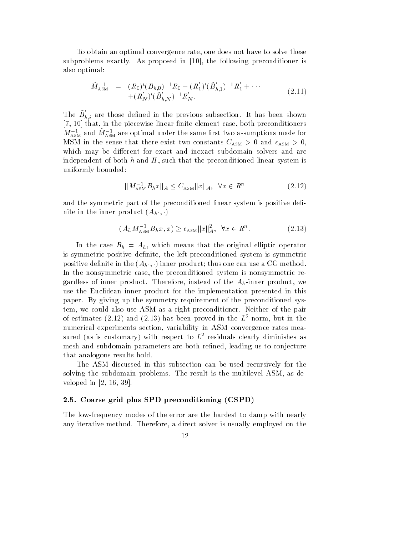To obtain an optimal convergence rate, one does not have to solve these subproblems exactly. As proposed in  $[10]$ , the following preconditioner is also optimal

$$
\tilde{M}_{\text{ASM}}^{-1} = (R_0)^t (B_{h,0})^{-1} R_0 + (R'_1)^t (\tilde{B}'_{h,1})^{-1} R'_1 + \cdots \n+ (R'_N)^t (\tilde{B}'_{h,N})^{-1} R'_N.
$$
\n(2.11)

The  $B'_{h,i}$  are those defined in the previous subsection. It has been shown  $\left[7, 10\right]$  that, in the piecewise linear finite element case, both preconditioners  $M_{\rm ASM}$  and  $M_{\rm ASM}$  are optimal under the same first two assumptions made for MSM in the sense that there exist two constants  $C_{\text{ASM}} > 0$  and  $c_{\text{ASM}} > 0$ , which may be direction, and inexact subdomain solvers and are solvered in the inexact subdomain independent of both h and  $H$ , such that the preconditioned linear system is uniformly bounded

$$
||M_{\text{AM}}^{-1}B_hx||_A \le C_{\text{AM}}||x||_A, \ \forall x \in R^n \tag{2.12}
$$

and the symmetric part of the preconditioned linear system is positive de inte in the inner product  $(A_h, \cdot)$ 

$$
(A_h M_{\text{ASM}}^{-1} B_h x, x) \ge c_{\text{ASM}} \|x\|_A^2, \ \forall x \in R^n. \tag{2.13}
$$

In the case  $B_h = A_h$ , which means that the original elliptic operator is symmetric positive definite, the left-preconditioned system is symmetric positive definite in the  $(A_h^*, \cdot)$  inner product, thus one can use a CG method. In the nonsymmetric case, the preconditioned system is nonsymmetric regardless of inner product. Therefore, instead of the  $A_h$ -inner product, we use the Euclidean inner product for the implementation presented in this paper. By giving up the symmetry requirement of the preconditioned system, we could also use ASM as a right-preconditioner. Neither of the pair of estimates  $(2.12)$  and  $(2.13)$  has been proved in the  $L<sup>2</sup>$  norm, but in the numerical experiments section, variability in ASM convergence rates measured (as is customary) with respect to  $L^-$  residuals clearly diminishes as mesh and subdomain parameters are both refined, leading us to conjecture that analogous results hold

The ASM discussed in this subsection can be used recursively for the solving the subdomain problems. The result is the multilevel ASM, as developed in  $[2, 16, 39]$ .

#### - Coarse grid plus SPD preconditioning CSPD

The low-frequency modes of the error are the hardest to damp with nearly any iterative method. Therefore, a direct solver is usually employed on the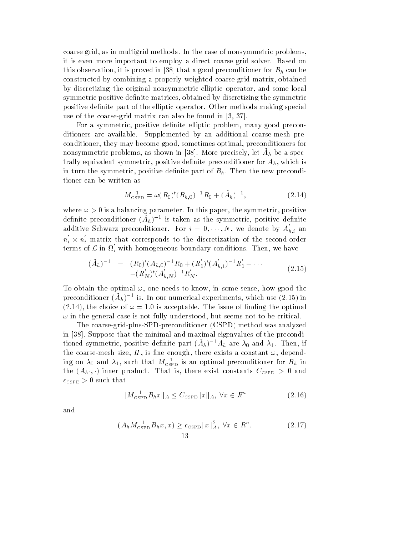coarse grid, as in multigrid methods. In the case of nonsymmetric problems, it is even more important to employ a direct coarse grid solver. Based on this observation, it is proved in [38] that a good preconditioner for  $B_h$  can be constructed by combining a properly weighted coarse-grid matrix, obtained by discretizing the original nonsymmetric elliptic operator, and some local symmetric positive definite matrices, obtained by discretizing the symmetric positive definite part of the elliptic operator. Other methods making special use of the coarse-grid matrix can also be found in  $[3, 37]$ .

For a symmetric, positive definite elliptic problem, many good preconditioners are available. Supplemented by an additional coarse-mesh preconditioner, they may become good, sometimes optimal, preconditioners for nonsymmetric problems, as shown in  $|o\circ|$ . More precisely, let  $A_h$  be a spectrally equivalent symmetric, positive definite preconditioner for  $A_h$ , which is in turn the symmetric, positive definite part of  $B_h$ . Then the new preconditioner can be written as

$$
M_{\text{CSPD}}^{-1} = \omega(R_0)^t (B_{h,0})^{-1} R_0 + (\tilde{A}_h)^{-1}, \qquad (2.14)
$$

where  $\omega > 0$  is a balancing parameter. In this paper, the symmetric, positive dennite preconditioner  $(A_h)$  – is taken as the symmetric, positive dennite additive Schwarz preconditioner. For  $i = 0, \dots, N$ , we denote by  $A_{h,i}$  an  $n_i \times n_i$  matrix that corresponds to the discretization of the second-order terms of  ${\mathcal L}$  in  $\Omega_i$  with homogeneous boundary conditions. Then, we have

$$
(\tilde{A}_h)^{-1} = (R_0)^t (A_{h,0})^{-1} R_0 + (R'_1)^t (A'_{h,1})^{-1} R'_1 + \cdots + (R'_N)^t (A'_{h,N})^{-1} R'_N.
$$
\n(2.15)

To obtain the optimal  $\omega$ , one needs to know, in some sense, how good the preconditioner  $(A_h)$  – is. In our numerical experiments, which use  $(2.15)$  in (2.14), the choice of  $\omega = 1.0$  is acceptable. The issue of finding the optimal  $\omega$  in the general case is not fully understood, but seems not to be critical.

The coarse-grid-plus-SPD-preconditioner (CSPD) method was analyzed in [38]. Suppose that the minimal and maximal eigenvalues of the preconditioned symmetric, positive definite part  $(A_h)$  -  $A_h$  are  $\lambda_0$  and  $\lambda_1$ . Then, if the coarse-mesh size,  $H$ , is fine enough, there exists a constant  $\omega$ , depending on  $\lambda_0$  and  $\lambda_1$ , such that  $M_{\text{CSPD}}$  is an optimal preconditioner for  $B_h$  in the  $(A_h^*, \cdot)$  finner product. That is, there exist constants  $C_{\text{CSPD}} > 0$  and  $c_{\text{CSPD}} > 0$  such that

$$
||M_{\text{CSPD}}^{-1}B_h x||_A \le C_{\text{CSPD}} ||x||_A, \ \forall x \in R^n \tag{2.16}
$$

and

$$
(A_h M_{\text{CSPD}}^{-1} B_h x, x) \ge c_{\text{CSPD}} \|x\|_A^2, \ \forall x \in R^n. \tag{2.17}
$$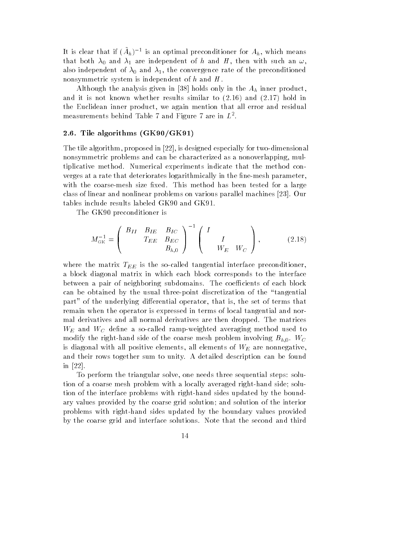It is clear that if  $(A_h)$  – is an optimal preconditioner for  $A_h$ , which means that both independent of the then the matrix are in the matrix with such and then with such and  $\frac{1}{2}$ also independent of - and - and - and - and - and - and - and - and - preconditioned nonsymmetric system is independent of  $h$  and  $H$ .

Although the analysis given in [38] holds only in the  $A_h$  inner product, and it is not known whether results similar to  $(2.16)$  and  $(2.17)$  hold in the Euclidean inner product, we again mention that all error and residual measurements behind table  $\ell$  and Figure  $\ell$  are in  $L^+$ .

## - Tile algorithms GK
GK

The tile algorithm, proposed in [22], is designed especially for two-dimensional nonsymmetric problems and can be characterized as a nonoverlapping, multiplicative method. Numerical experiments indicate that the method converges at a rate that deteriorates logarithmically in the fine-mesh parameter, with the coarse-mesh size fixed. This method has been tested for a large class of linear and nonlinear problems on various parallel machines [23]. Our tables include results labeled GK90 and GK91.

The GK90 preconditioner is

$$
M_{\rm GK}^{-1} = \left( \begin{array}{cc} B_{II} & B_{IE} & B_{IC} \\ & T_{EE} & B_{EC} \\ & & B_{h,0} \end{array} \right)^{-1} \left( \begin{array}{cc} I & & \\ & I & \\ & & W_E & W_C \end{array} \right), \tag{2.18}
$$

where the matrix  $T_{EE}$  is the so-called tangential interface preconditioner. a block diagonal matrix in which each block corresponds to the interface between a pair of neighboring subdomains. The coefficients of each block can be obtained by the usual three-point discretization of the "tangential" part is underlying differential particles in the set of terms that is the set of the set of the set of the set remain when the operator is expressed in terms of local tangential and nor mal derivatives and all normal derivatives are then dropped. The matrices  $W_E$  and  $W_C$  define a so-called ramp-weighted averaging method used to modify the right model side of the coarse mesh problem involving Bh-United Bh-U is diagonal with all positive elements, all elements of  $W_E$  are nonnegative. and their rows together sum to unity A detailed description can be found in [22].

To perform the triangular solve, one needs three sequential steps: solution of a coarse mesh problem with a locally averaged right-hand side; solution of the interface problems with right-hand sides updated by the boundary values provided by the coarse grid solution and solution of the interior problems with right-hand sides updated by the boundary values provided by the coarse grid and interface solutions. Note that the second and third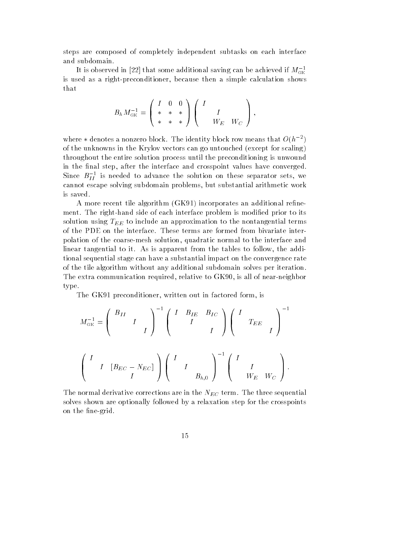steps are composed of completely independent subtasks on each interface and subdomain

It is observed in [22] that some additional saving can be achieved if  $M_{\rm GK}^{-1}$ is used as a right-preconditioner, because then a simple calculation shows that

$$
B_h M_{\rm GK}^{-1} = \left( \begin{array}{ccc} I & 0 & 0 \\ * & * & * \\ * & * & * \end{array} \right) \left( \begin{array}{ccc} I & & \\ & I & \\ & & W_E & W_C \end{array} \right),
$$

where  $*$  denotes a nonzero block. The identity block row means that  $O(n^{-2})$ of the unknowns in the Krylov vectors can go untouched (except for scaling) throughout the entire solution process until the preconditioning is unwound in the final step, after the interface and crosspoint values have converged. Since  $B_{II}^-$  is needed to advance the solution on these separator sets, we cannot escape solving subdomain problems, but substantial arithmetic work is saved

A more recent tile algorithm  $(GK91)$  incorporates an additional refinement. The right-hand side of each interface problem is modified prior to its solution using  $T_{EE}$  to include an approximation to the nontangential terms of the PDE on the interface. These terms are formed from bivariate interpolation of the coarse-mesh solution, quadratic normal to the interface and linear tangential to it. As is apparent from the tables to follow, the additional sequential stage can have a substantial impact on the convergence rate of the tile algorithm without any additional subdomain solves per iteration The extra communication required, relative to GK90, is all of near-neighbor type

The GK91 preconditioner, written out in factored form, is

$$
M_{gK}^{-1} = \left(\begin{array}{ccc} B_{II} & & \\ & I & \\ & & I \end{array}\right)^{-1} \left(\begin{array}{ccc} I & B_{IE} & B_{IC} \\ & I & \\ & & I \end{array}\right) \left(\begin{array}{ccc} I & & \\ & & I & \\ & & & I \end{array}\right)^{-1}
$$

$$
\left(\begin{array}{ccc} I & & & \\ & I & [B_{EC} - N_{EC}] \\ & & I & \\ & & & B_{h,0} \end{array}\right)^{-1} \left(\begin{array}{ccc} I & & \\ & I & \\ & & W_E & W_C \end{array}\right).
$$

The normal derivative corrections are in the  $N_{EC}$  term. The three sequential solves shown are optionally followed by a relaxation step for the crosspoints on the fine-grid.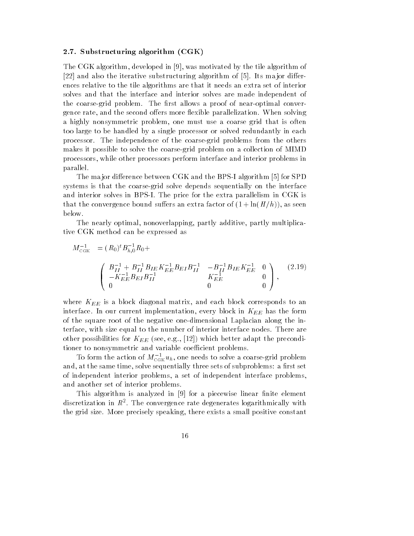## -definition algorithm  $\mathcal{L}(\mathbf{S})$  and  $\mathcal{L}(\mathbf{S})$  algorithm CGK algorithm CGK algorithm CGK algorithm CGK algorithm CGK algorithm CGK algorithm CGK algorithm CGK algorithm CGK algorithm CGK algorithm CGK algorithm C

The CGK algorithm, developed in [9], was motivated by the tile algorithm of and also the iterative substructure substructuring algorithm of  $\mathbb{F}_2$  , which also distribute the interest ences relative to the tile algorithms are that it needs an extra set of interior solves and that the interface and interior solves are made independent of the coarse-grid problem. The first allows a proof of near-optimal convergence rate and the second o-ers more exible parallelization When solving a highly nonsymmetric problem, one must use a coarse grid that is often too large to be handled by a single processor or solved redundantly in each processor. The independence of the coarse-grid problems from the others makes it possible to solve the coarsegrid problem on a collection of MIMD processors while other processors perform interface and interior problems in parallel

The ma jor di-erence between CGK and the BPSI algorithm for SPD systems is that the coarse-grid solve depends sequentially on the interface and interior solves in BPS-I. The price for the extra parallelism in CGK is that the convergence bound suppose the convergence of  $\{ \bullet \}$  and  $\{ \bullet \}$  if  $\{ \bullet \}$  as seen below

The nearly optimal, nonoverlapping, partly additive, partly multiplicative CGK method can be expressed as

$$
M_{\text{c}gK}^{-1} = (R_0)^t B_{h,0}^{-1} R_0 +
$$
  
\n
$$
\begin{pmatrix} B_{II}^{-1} + B_{II}^{-1} B_{IE} K_{EE}^{-1} B_{EI} B_{II}^{-1} & -B_{II}^{-1} B_{IE} K_{EE}^{-1} & 0 \\ -K_{EE}^{-1} B_{EI} B_{II}^{-1} & K_{EE}^{-1} & 0 \\ 0 & 0 & 0 \end{pmatrix},
$$
 (2.19)

where  $K_{EE}$  is a block diagonal matrix, and each block corresponds to an interface. In our current implementation, every block in  $K_{EE}$  has the form of the square root of the negative onedimensional Laplacian along the in terface, with size equal to the number of interior interface nodes. There are other possibilities for  $K_{EE}$  (see, e.g., [12]) which better adapt the preconditioner to nonsymmetric and variable coefficient problems.

To form the action of  $M_{\rm CGK}u_h$ , one needs to solve a coarse-grid problem and, at the same time, solve sequentially three sets of subproblems: a first set of independent interior problems, a set of independent interface problems. and another set of interior problems

This algorithm is analyzed in  $[9]$  for a piecewise linear finite element discretization in  $R^-$ . The convergence rate degenerates logarithmically with the grid size. More precisely speaking, there exists a small positive constant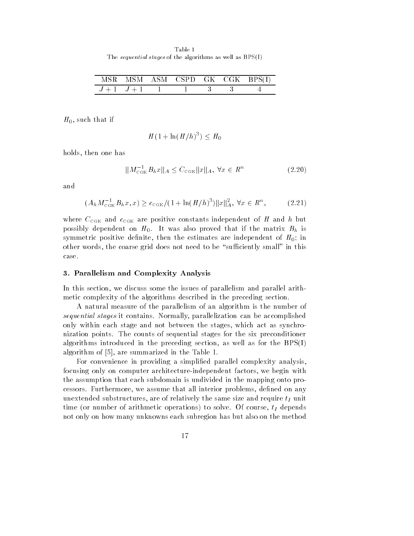The *sequential stages* of the algorithms as well as BPS(I)

|             |  |  | MSM ASM CSPD GK CGK BPS(1) |
|-------------|--|--|----------------------------|
| $J+1$ $J+1$ |  |  |                            |

 $\mathbf{v}$  such that if  $\mathbf{v}$  if  $\mathbf{v}$  if  $\mathbf{v}$  if  $\mathbf{v}$  if  $\mathbf{v}$  if  $\mathbf{v}$  if  $\mathbf{v}$  if  $\mathbf{v}$  if  $\mathbf{v}$  if  $\mathbf{v}$  if  $\mathbf{v}$  if  $\mathbf{v}$  if  $\mathbf{v}$  if  $\mathbf{v}$  if  $\mathbf{v}$  if  $\mathbf{v}$  if  $\mathbf{v}$ 

$$
H(1+\ln(H/h)^3) \leq H_0
$$

holds, then one has

$$
||M_{\text{C}GK}^{-1}B_hx||_A \le C_{\text{C}GK}||x||_A, \,\forall x \in R^n
$$
\n(2.20)

and

$$
(A_h M_{\text{CGK}}^{-1} B_h x, x) \ge c_{\text{CGK}} / (1 + \ln(H/h)^3) ||x||_A^2, \ \forall x \in R^n,
$$
 (2.21)

where  $C_{\text{CGK}}$  and  $c_{\text{CGK}}$  are positive constants independent of H and h but possibly dependent on H-Q+ H-+ was also proved that if the matrix Bh is the matrix  $B$  if the symmetric positive denite then the estimates are independent of H- in others words the coarse grid does not not no be a minimum to be the subcase

## Parallelism and Complexity Analysis

In this section, we discuss some the issues of parallelism and parallel arithmetic complexity of the algorithms described in the preceding section

A natural measure of the parallelism of an algorithm is the number of sequential stages it contains Normally parallelization can be accomplished only within each stage and not between the stages, which act as synchronization points The counts of sequential stages for the six preconditioner algorithms introduced in the preceding section, as well as for the  $BPS(I)$ algorithm of  $[5]$ , are summarized in the Table 1.

For convenience in providing a simplified parallel complexity analysis, focusing only on computer architecture-independent factors, we begin with the assumption that each subdomain is undivided in the mapping onto pro cessors. Furthermore, we assume that all interior problems, defined on any unextended substructures, are of relatively the same size and require  $t_I$  unit time (or number of arithmetic operations) to solve. Of course,  $t_I$  depends not only on how many unknowns each subregion has but also on the method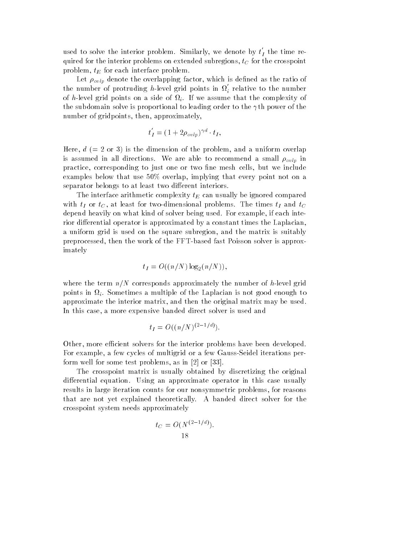used to solve the interior problem. Similarly, we denote by  $t_I$  the time required for the interior problems on extended subregions,  $t_C$  for the crosspoint problem,  $t_E$  for each interface problem.

Let  $\rho_{ovlp}$  denote the overlapping factor, which is defined as the ratio of the number of protruding h-level grid points in  $\Omega_i$  relative to the number of h-level grid points on a side of  $\Omega_i$ . If we assume that the complexity of the subdomain solve is proportional to leading order to the  $\gamma$ th power of the number of gridpoints, then, approximately,

$$
t_I' = (1 + 2\rho_{ovlp})^{\gamma d} \cdot t_I,
$$

Here,  $d$  (= 2 or 3) is the dimension of the problem, and a uniform overlap is assumed in all directions. We are able to recommend a small  $\rho_{\it ovlp}$  in practice, corresponding to just one or two fine mesh cells, but we include examples below that use  $50\%$  overlap, implying that every point not on a separator belongs to at least two di-erent interiors

The interface arithmetic complexity  $t_E$  can usually be ignored compared with  $t_I$  or  $t_C$ , at least for two-dimensional problems. The times  $t_I$  and  $t_C$ depend heavily on what kind of solver being used. For example, if each interior di-erential operator is approximated by a constant times the Laplacian a uniform grid is used on the square subregion and the matrix is suitably preprocessed, then the work of the FFT-based fast Poisson solver is approximately

$$
t_I = O((n/N)\log_2(n/N)),
$$

where the term  $n/N$  corresponds approximately the number of h-level grid points in  $\Omega_i$ . Sometimes a multiple of the Laplacian is not good enough to approximate the interior matrix and then the original matrix may be used In this case, a more expensive banded direct solver is used and

$$
t_I = O((n/N)^{(2-1/d)}).
$$

Other, more efficient solvers for the interior problems have been developed. For example, a few cycles of multigrid or a few Gauss-Seidel iterations perform well for some test problems, as in  $[2]$  or  $[33]$ .

The crosspoint matrix is usually obtained by discretizing the original di-erential equation Using an approximate operator in this case usually results in large iteration counts for our nonsymmetric problems, for reasons that are not yet explained theoretically A banded direct solver for the crosspoint system needs approximately

$$
t_C = O(N^{(2-1/d)}).
$$
18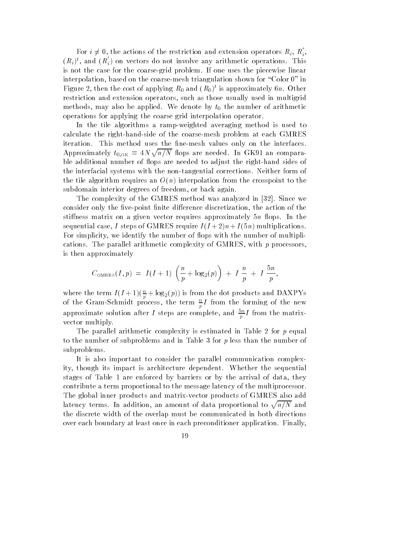For  $i\neq 0,$  the actions of the restriction and extension operators  $R_i,\,R_i,$  $(R_i)^t$ , and  $(R_i)$  on vectors do not involve any arithmetic operations. This is not the case for the coarse-grid problem. If one uses the piecewise linear interpretation based on the coarsemesh triangulation shown for  $\mathcal{M}$  . In the color  $\mathcal{M}$ rigure 2, then the cost of applying  $R_0$  and  $(R_0)^\circ$  is approximately on. Other restriction and extension operators, such as those usually used in multigrid methods may also be applied we denote by the number of arithmetic by t-the number of arithmetic by t-the number of arithmetic by t-the number of arithmetic by t-the number of arithmetic by t-the number of arithmetic by toperations for applying the coarse grid interpolation operator

In the tile algorithms a ramp-weighted averaging method is used to calculate the right-hand-side of the coarse-mesh problem at each GMRES iteration. This method uses the fine-mesh values only on the interfaces. Approximately  $t_{0,\text{GK}} \equiv 4N\sqrt{n/N}$  flops are needed. In GK91 an comparable additional number of flops are needed to adjust the right-hand sides of the interfacial systems with the non-tangential corrections. Neither form of the tile algorithm requires an  $O(n)$  interpolation from the crosspoint to the subdomain interior degrees of freedom, or back again.

The complexity of the GMRES method was analyzed in [32]. Since we consider and very the very possed there actions action the discretization of the action of the action of the a sti-ness matrix on a given vector requires approximately n ops In the sequential case, I steps of GMRES require  $I(I+2)n + I(5n)$  multiplications. For simplicity, we identify the number of flops with the number of multiplications. The parallel arithmetic complexity of GMRES, with  $p$  processors. is then approximately

$$
C_{\text{GMRES}}(I, p) = I(I+1) \left(\frac{n}{p} + \log_2(p)\right) + I\frac{n}{p} + I\frac{5n}{p},
$$

where the term  $I(I+1)(\frac{1}{p} + \log_2(p))$  is from the dot products and DAAP is of the Gram-Schmidt process, the term  $\frac{1}{p}I$  from the forming of the new approximate solution after I steps are complete, and  $\frac{1}{p}$ I from the matrixvector multiply

The parallel arithmetic complexity is estimated in Table 2 for  $p$  equal to the number of subproblems and in Table 3 for  $p$  less than the number of subproblems

It is also important to consider the parallel communication complex ity, though its impact is architecture dependent. Whether the sequential stages of Table 1 are enforced by barriers or by the arrival of data, they contribute a term proportional to the message latency of the multiprocessor The global inner products and matrix-vector products of GMRES also add latency terms. In addition, an amount of data proportional to  $\sqrt{n/N}$  and the discrete width of the overlap must be communicated in both directions over each boundary at least once in each preconditioner application. Finally,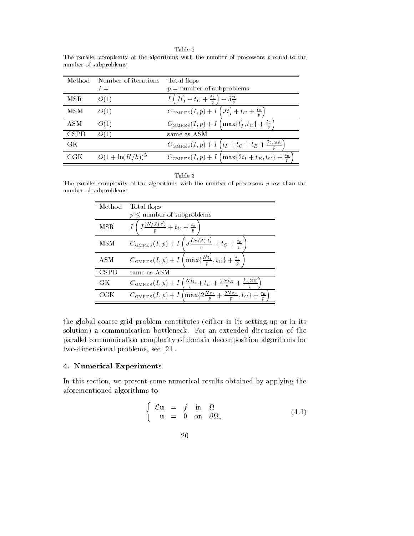Table The parallel complexity of the algorithms with the number of processors  $p$  equal to the number of subproblems

| Method      | Number of iterations | Total flops                                                                          |
|-------------|----------------------|--------------------------------------------------------------------------------------|
|             | $l =$                | $p =$ number of subproblems                                                          |
| MSR         | O(1)                 | $I\left(Jt_{I}^{'}+t_{C}+\frac{t_{0}}{p}\right)+5\frac{n}{n}$                        |
| MSM         | O(1)                 | $C_{\text{GMRES}}(I, p) + I \left( Jt_I' + t_C + \frac{t_0}{n} \right)$              |
| <b>ASM</b>  | O(1)                 | $C_{\text{GMRES}}(I, p) + I\left(\max\{t'_I, t_C\} + \frac{t_0}{n}\right)$           |
| <b>CSPD</b> |                      | same as ASM                                                                          |
| GK.         |                      | $C_{\text{GMRES}}(I, p) + I\left(t_I + t_C + t_E + \frac{t_{0,\text{GK}}}{n}\right)$ |
| CGK         | $O(1 + \ln(H/h))^3$  | $C_{\text{GMRES}}(I, p) + I \left( \max\{2t_I + t_E, t_C\} + \frac{t_0}{n} \right)$  |

Table

The parallel complexity of the algorithms with the number of processors  $p$  less than the number of subproblems

| Method | Total flops                                                                                                 |
|--------|-------------------------------------------------------------------------------------------------------------|
|        | $p <$ number of subproblems                                                                                 |
| MSR.   | $J\frac{(N/J) t_I}{r} + t_C + \frac{t_0}{r}$                                                                |
| MSM    | $C_{\text{GMRES}}(I, p) + I\left(J\frac{(N/J) i_I}{p} + t_C + \frac{t_0}{p}\right)$                         |
| ASM    | $C_{\text{GMRES}}(I, p) + I\left(\max\{\frac{Nt_I}{p}, t_C\} + \frac{t_0}{p}\right)$                        |
| CSPD   | same as ASM                                                                                                 |
| GК     | $C_{\text{GMRES}}(I, p) + I\left(\frac{Nt_I}{p} + t_C + \frac{2Nt_E}{p} + \frac{t_{0,\text{GK}}}{p}\right)$ |
| CGK    | $\left[\max\{2\frac{Nt_I}{p} + \frac{2Nt_E}{p}, t_C\} + \right]$<br>$t_{0}$<br>$C_{\text{GMRES}}(I,p)+I$    |

the global coarse grid problem constitutes (either in its setting up or in its solution) a communication bottleneck. For an extended discussion of the parallel communication complexity of domain decomposition algorithms for two-dimensional problems, see  $[21]$ .

# 4. Numerical Experiments

In this section, we present some numerical results obtained by applying the aforementioned algorithms to

$$
\begin{cases}\n\mathcal{L}\mathbf{u} = f \quad \text{in} \quad \Omega \\
\mathbf{u} = 0 \quad \text{on} \quad \partial\Omega,\n\end{cases} (4.1)
$$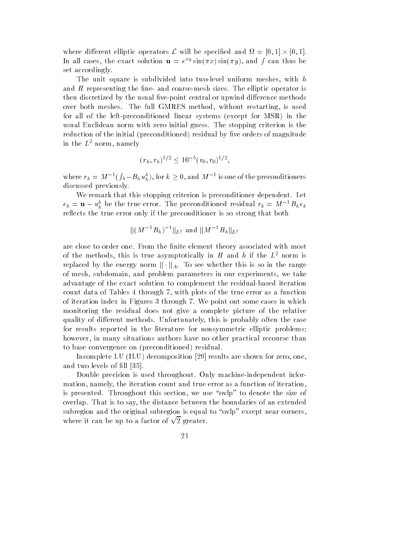where different elliptic operators L will be specified and  $\Omega = [0, 1] \times [0, 1]$ . In all cases, the exact solution  $\mathbf{u} = e^{-s} \sin(\pi x) \sin(\pi y)$ , and f can thus be set accordingly.

The unit square is subdivided into two-level uniform meshes, with  $h$ and  $H$  representing the fine- and coarse-mesh sizes. The elliptic operator is the discretized by the usual vertex of the usual vertex or upwind discretized discretized and over both meshes. The full GMRES method, without restarting, is used for all of the left-preconditioned linear systems (except for MSR) in the usual Euclidean norm with zero initial guess The stopping criterion is the reduction of the initial (preconditioned) residual by five orders of magnitude in the  $L^2$  norm, namely

$$
(r_k, r_k)^{1/2} \le 10^{-5} (r_0, r_0)^{1/2},
$$

where  $r_k = M^{-1}(f_h - B_h u_h^k)$ , for  $k \geq 0$ , and  $M^{-1}$  is one of the preconditioners discussed previously

We remark that this stopping criterion is preconditioner dependent. Let  $e_k = \mathbf{u} - u_h^*$  be the true error. The preconditioned residual  $r_k = M - Bh e_k$ reflects the true error only if the preconditioner is so strong that both

$$
\|(M^{-1}B_h)^{-1}\|_{L^2}\,\,\text{and}\,\,\|M^{-1}B_h\|_{L^2}\quad.
$$

are close to order one. From the finite element theory associated with most of the methods, this is true asymptotically in H and h if the  $L^2$  norm is replaced by the energy norm  $\|\cdot\|_A$ . To see whether this is so in the range of mesh, subdomain, and problem parameters in our experiments, we take advantage of the exact solution to complement the residual-based iteration count data of Tables 4 through 7, with plots of the true error as a function of iteration index in Figures 3 through 7. We point out some cases in which monitoring the residual does not give a complete picture of the relative quality of different methods use the case of discussions is probably the case that the c for results reported in the literature for nonsymmetric elliptic problems however, in many situations authors have no other practical recourse than to base convergence on (preconditioned) residual.

Incomplete LU (ILU) decomposition  $[29]$  results are shown for zero, one, and two levels of fill  $[35]$ .

Double precision is used throughout. Only machine-independent information, namely, the iteration count and true error as a function of iteration. is presented Throughout this section we use ovlp to denote the size of overlap. That is to say, the distance between the boundaries of an extended  $s$  is a subset of original subsets  $\alpha$  and  $\alpha$  is equal to  $\alpha$  . The original to  $\alpha$  is a subset of  $\alpha$ where it can be up to a factor of  $\sqrt{2}$  greater.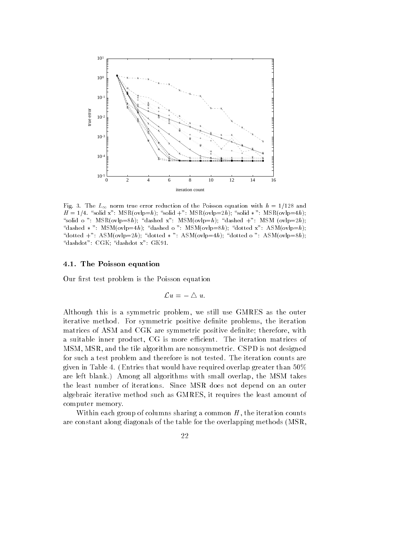

Fig- - The L norm true error reduction of the Poisson equation with <sup>h</sup> and  $H = 1/4$ . "solid x": MSR(ovlp=h); "solid  $+$ ": MSR(ovlp=2h); "solid \* ": MSR(ovlp=4h); solid o mandalarith and mandalar is the mandalarith and the second of the second and the second and the second "dashed \* ": MSM(ovlp=4h); "dashed o ": MSM(ovlp=8h); "dotted x": ASM(ovlp=h); "dotted  $+$ ": ASM(ovlp=2n); "dotted \* ". ASM(ovlp=4n); "dotted o ": ASM(ovlp=8n); dashdot i care dashdot i care a

# 4.1. The Poisson equation

Our first test problem is the Poisson equation

$$
\mathcal{L}u=-\bigtriangleup u
$$

Although this is a symmetric problem, we still use GMRES as the outer iterative method. For symmetric positive definite problems, the iteration matrices of ASM and CGK are symmetric positive definite; therefore, with a suitable inner product, CG is more efficient. The iteration matrices of MSM, MSR, and the tile algorithm are nonsymmetric. CSPD is not designed for such a test problem and therefore is not tested. The iteration counts are given in Table 4. (Entries that would have required overlap greater than  $50\%$ are left blank.) Among all algorithms with small overlap, the MSM takes the least number of iterations. Since MSR does not depend on an outer algebraic iterative method such as GMRES it requires the least amount of computer memory

Within each group of columns sharing a common  $H$ , the iteration counts are constant along diagonals of the table for the overlapping methods (MSR,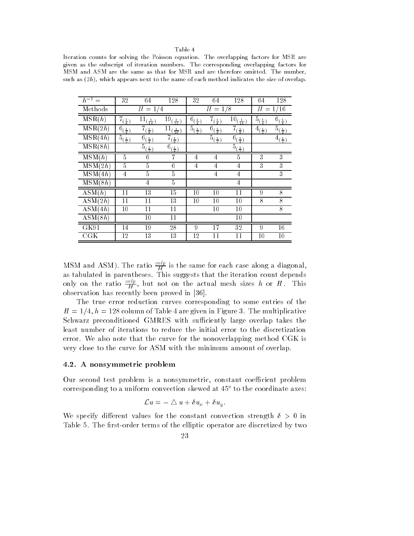Iteration counts for solving the Poisson equation- The overlapping factors for MSR are given as the subscript of iteration numbers- who subscripting corresponding factors for MSM and ASM are the same as that for  $\mathcal{M}$  are the same as that for  $\mathcal{M}$ such as  $(2h)$ , which appears next to the name of each method indicates the size of overlap.

| $h^{-1} =$                            | 32                  | 64                    | 128                   | 32                  | 64                  | 128                       | 64                  | 128                  |
|---------------------------------------|---------------------|-----------------------|-----------------------|---------------------|---------------------|---------------------------|---------------------|----------------------|
| Methods                               |                     | $H = 1/4$             |                       |                     | $H = 1/8$           |                           |                     | $H = 1/16$           |
| MSR(h)                                | $7_{(\frac{1}{8})}$ | $11_{(\frac{1}{16})}$ | $19_{(\frac{1}{32})}$ | $6_{(\frac{1}{4})}$ | $7_{(\frac{1}{8})}$ | $10_{(\frac{1}{16})}$     | $5_{(\frac{1}{4})}$ | $6_{(\frac{1}{8})}$  |
| $\overline{\text{MSR}}(2h)$           | $6_{(\frac{1}{4})}$ | $7_{(\frac{1}{2})}$   | $11_{(\frac{1}{16})}$ | $5_{(\frac{1}{2})}$ | $6_{(\frac{1}{4})}$ | $7_{(\frac{1}{2})}$       | $4_{(\frac{1}{2})}$ | $5_{(\frac{1}{4})}$  |
| $\overline{\text{MSR}}(4h)$           | $5_{(\frac{1}{2})}$ | $6_{(\frac{1}{4})}$   | $7_{(\frac{1}{8})}$   |                     | $5_{(\frac{1}{2})}$ | $\bar{6}_{(\frac{1}{4})}$ |                     | $^{-4}(\frac{1}{2})$ |
| MSR(8h)                               |                     | $5_{(\frac{1}{2})}$   | $6_{(\frac{1}{4})}$   |                     |                     | $5_{(\frac{1}{2})}$       |                     |                      |
| $\overline{\mathrm{M}}\mathrm{SM}(h)$ | 5                   | 6                     | $\overline{7}$        | 4                   | 4                   | 5                         | 3                   | 3                    |
| MSM(2h)                               | 5                   | 5                     | 6                     | 4                   | 4                   | 4                         | 3                   | 3                    |
| $\overline{\text{MSM}(4h)}$           | 4                   | 5                     | 5                     |                     | 4                   | 4                         |                     | 3                    |
| MSM(8h)                               |                     | 4                     | 5                     |                     |                     | 4                         |                     |                      |
| ASM(h)                                | 11                  | 13                    | 15                    | 10                  | 10                  | 11                        | 9                   | 8                    |
| $\overline{\text{ASM}(2h)}$           | 11                  | 11                    | 13                    | 10                  | 10                  | 10                        | 8                   | 8                    |
| ASM(4h)                               | 10                  | 11                    | 11                    |                     | 10                  | 10                        |                     | 8                    |
| $\overline{\text{ASM}(8h)}$           |                     | 10                    | $11\,$                |                     |                     | 10                        |                     |                      |
| GK91                                  | 14                  | 19                    | 28                    | 9                   | 17                  | 32                        | 9                   | $\overline{16}$      |
| C G K                                 | 12                  | 13                    | 13                    | 12                  | 11                  | 11                        | 10                  | 10                   |

MSM and ASM). The ratio  $\frac{1}{H}$  is the same for each case along a diagonal, as tabulated in parentheses This suggests that the incrementation count depends of  $\mathbb{R}^n$ only on the ratio  $\frac{H}{H}$ , but not on the actual mesh sizes h or H. This observation has recently been proved in

The true error reduction curves corresponding to some entries of the  $H = 1/4$ ,  $h = 128$  column of Table 4 are given in Figure 3. The multiplicative Schwarz preconditioned GMRES with sufficiently large overlap takes the least number of iterations to reduce the initial error to the discretization error. We also note that the curve for the nonoverlapping method CGK is very close to the curve for ASM with the minimum amount of overlap

#### - A nonsymmetric problem

Our second test problem is a nonsymmetric, constant coefficient problem corresponding to a uniform convection skewed at 45 ° to the coordinate axes:

$$
\mathcal{L}u = -\bigtriangleup u + \delta u_x + \delta u_y.
$$

We specify di-erent values for the constant convection strength in Table 5. The first-order terms of the elliptic operator are discretized by two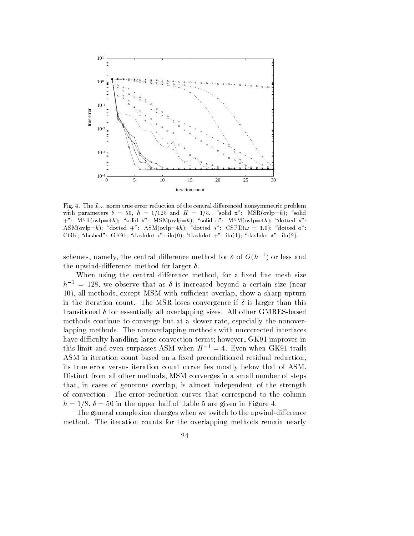

Fig- - The L norm true error reduction of the central dierenced nonsymmetric problem with parameters  $\alpha$  ,  $\alpha$  ,  $\alpha$  ,  $\alpha$  ,  $\alpha$  and  $\alpha$  ,  $\alpha$  ,  $\alpha$  ,  $\alpha$  ,  $\alpha$  ,  $\alpha$  ,  $\alpha$  ,  $\alpha$  ,  $\alpha$  ,  $\alpha$  ,  $\alpha$  ,  $\alpha$  ,  $\alpha$  ,  $\alpha$  ,  $\alpha$  ,  $\alpha$  ,  $\alpha$  ,  $\alpha$  ,  $\alpha$  ,  $\alpha$  ,  $\alpha$  ,  $\alpha$  ,  $\alpha$  ,  $\alpha$  ,  $+$  MSR(ovlp=4 $\hbar$ ); solid \* MSM(ovlp= $\hbar$ ); solid o MSM(ovlp=4 $\hbar$ ); dotted x  $\cdot$  $\text{ASM}(\text{ovlp}=n);$  adotted  $+$  .  $\text{ASM}(\text{ovlp}=4n);$  adotted  $*$  .  $\text{CSPD}(\omega=1.0);$  adotted of : UGK; "dashed": GK91; "dashdot x": llu(U); "dashdot +": llu(1); "dashdot \*": llu(2).

schemes, namely, the central difference inethod for  $v$  of  $O(n^{-\epsilon})$  or less and the upwind distribution of the upwind for larger  $\mathbf{f}$  and  $\mathbf{f}$  and  $\mathbf{f}$ 

When using the central di-erence method for a xed ne mesh size  $n_{\parallel}$  = 128, we observe that as  $\theta$  is increased beyond a certain size (near 10), all methods, except MSM with sufficient overlap, show a sharp upturn in the iteration count The MSR loses convergence if  $\Lambda$ transitional for essentially all overlapping sizes All other GMRESbased methods continue to converge but at a slower rate, especially the nonoverlapping methods The nonoverlapping methods with uncorrected interfaces have difficulty handling large convection terms; however, GK91 improves in this limit and even surpasses ASM when  $H^{-1} = 4$ . Even when GK91 trails ASM in iteration count based on a fixed preconditioned residual reduction, its true error versus iteration count curve lies mostly below that of ASM Distinct from all other methods, MSM converges in a small number of steps that, in cases of generous overlap, is almost independent of the strength of convection. The error reduction curves that correspond to the column he is the upper half of the upper the state of the state  $\alpha$  and  $\alpha$  are  $\alpha$ 

The general complexion changes when we switch to the upwinddi-erence method. The iteration counts for the overlapping methods remain nearly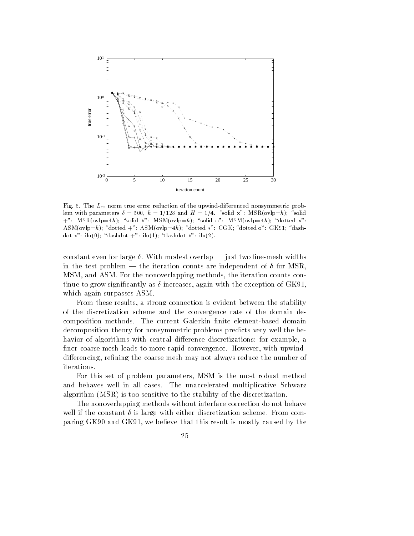

Fig- - The L norm true error reduction of the upwinddierenced nonsymmetric prob lem with parameters in the contract with the H  $\alpha$  MSR in the solid  $\alpha$  and  $\alpha$  $+$  MSR(ovlp=4 $\hbar$ ); solid \* MSM(ovlp= $\hbar$ ); solid o MSM(ovlp=4 $\hbar$ ); dotted x  $\cdot$ ASM(ovlp=n); "dotted +": ASM(ovlp=4n); "dotted \*": UGK; "dotted o": GK91; "dashdot x": llu(U); "dashdot  $+$ ": llu(I); "dashdot \*": llu(Z).

constant even for a great two newsletters in the large state over the constant of the constant of the constant in the test problem " the iteration counts are independent of  $\Gamma$  are independent of  $\Gamma$ MSM, and ASM. For the nonoverlapping methods, the iteration counts contimus to grow significantly as considering against the exception of GK straight which again surpasses ASM.

From these results a strong connection is evident between the stability of the discretization scheme and the convergence rate of the domain de composition methods. The current Galerkin finite element-based domain decomposition theory for nonsymmetric problems predicts very well the be havior of algorithms with central di-erence discretizations for example a finer coarse mesh leads to more rapid convergence. However, with upwinddi-erencing rening the coarse mesh may not always reduce the number of iterations

For this set of problem parameters, MSM is the most robust method and behaves well in all cases The unaccelerated multiplicative Schwarz algorithm  $(MSR)$  is too sensitive to the stability of the discretization.

The nonoverlapping methods without interface correction do not behave well if the constant  $\mathbf{f}$  is large with either discretization scheme  $\mathbf{f}$ paring GK90 and GK91, we believe that this result is mostly caused by the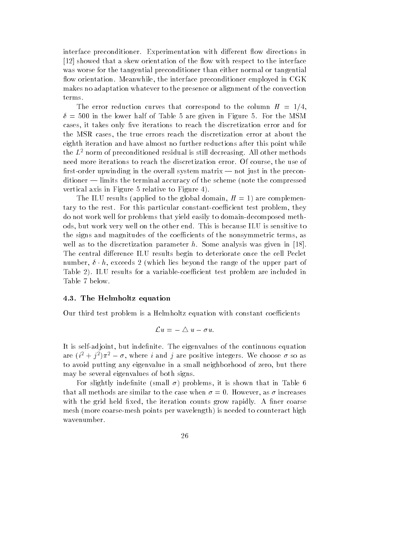interface preconditioner Experimentation with di-erent ow directions in  $[12]$  showed that a skew orientation of the flow with respect to the interface was worse for the tangential preconditioner than either normal or tangential flow orientation. Meanwhile, the interface preconditioner employed in CGK makes no adaptation whatever to the presence or alignment of the convection terms

The error reduction curves that correspond to the column  $H = 1/4$ . in the lower half of Table  $\mathcal{N}$  in Figure . The MSMM small of Table  $\mathcal{N}$ cases, it takes only five iterations to reach the discretization error and for the MSR cases, the true errors reach the discretization error at about the eighth iteration and have almost no further reductions after this point while the  $L^2$  norm of preconditioned residual is still decreasing. All other methods need more iterations to reach the discretization error. Of course, the use of first-order upwinding in the overall system matrix  $-$  not just in the precon $ditioner$  - limits the terminal accuracy of the scheme (note the compressed vertical axis in Figure  $5$  relative to Figure  $4$ ).

The ILU results (applied to the global domain,  $H = 1$ ) are complementary to the rest. For this particular constant-coefficient test problem, they do not work well for problems that yield easily to domain-decomposed methods, but work very well on the other end. This is because ILU is sensitive to the signs and magnitudes of the coefficients of the nonsymmetric terms, as well as to the discretization parameter h. Some analysis was given in [18]. The central di-erence ILU results begin to deteriorate once the cell Peclet  $\min$  is a section of the conditional the range of the upper part of the upper part of Table 2). ILU results for a variable-coefficient test problem are included in Table 7 below.

#### 4.3. The Helmholtz equation

Our third test problem is a Helmholtz equation with constant coefficients

$$
\mathcal{L}u=-\triangle u-\sigma u.
$$

It is self-adjoint, but indefinite. The eigenvalues of the continuous equation are  $(i + j)$  in  $\bar{z} = o$ , where i and j are positive integers. We choose o so as to avoid putting any eigenvalue in a small neighborhood of zero, but there may be several eigenvalues of both signs

For slightly indefinite (small  $\sigma$ ) problems, it is shown that in Table 6 that all methods are similar to the case when  $\sigma = 0$ . However, as  $\sigma$  increases with the grid held fixed, the iteration counts grow rapidly. A finer coarse mesh (more coarse-mesh points per wavelength) is needed to counteract high wavenumber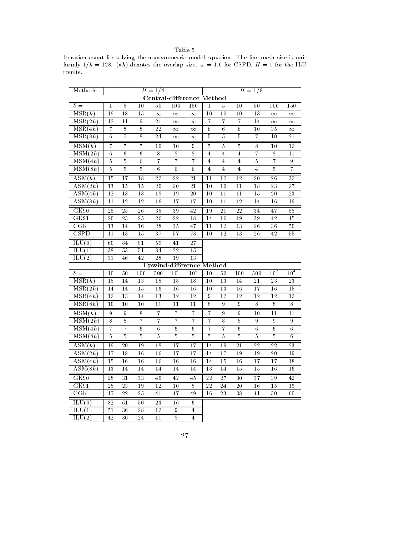Table

Iteration count for solving the nonsymmetric model equation- The ne mesh size is uni formly  $1/n = 128$ ,  $(*n)$  denotes the overlap size,  $\omega = 1.0$  for CSPD.  $H = 1$  for the ILU results-

| Methods                     |                  |                 |                  | $H = 1/4$      |                |                                   | $H = 1/8$      |                  |                |                |                |                  |
|-----------------------------|------------------|-----------------|------------------|----------------|----------------|-----------------------------------|----------------|------------------|----------------|----------------|----------------|------------------|
|                             |                  |                 |                  |                |                | Central-difference Method         |                |                  |                |                |                |                  |
| $\delta =$                  | 1                | 5               | 10               | 50             | 100            | 150                               | $\mathbf{1}$   | 5                | 10             | 50             | 100            | 150              |
| MSR(h)                      | 19               | 18              | 15               | $\infty$       | $\infty$       | $\infty$                          | 10             | 10               | 10             | 13             | $\infty$       | $\infty$         |
| MSR(2h)                     | 12               | 11              | $\boldsymbol{9}$ | 21             | $\infty$       | $\infty$                          | $\overline{7}$ | $\overline{7}$   | 7              | 14             | $\infty$       | $\infty$         |
| MSR(4h)                     | $\overline{7}$   | 8               | $\bf 8$          | 22             | $\infty$       | $\infty$                          | 6              | $\boldsymbol{6}$ | 6              | 10             | 35             | $\infty$         |
| MSR(8h)                     | $\overline{6}$   | 7               | 8                | 24             | $\infty$       | $\infty$                          | 5              | $\overline{5}$   | 5              | $\overline{7}$ | 10             | 21               |
| MSM(h)                      | $\overline{7}$   | $\overline{7}$  | 7                | 10             | $10\,$         | 9                                 | 5              | 5                | 5              | 8              | 10             | 12               |
| $\overline{\text{MSM}(2h)}$ | $\boldsymbol{6}$ | 6               | 6                | 8              | 8              | 8                                 | $\overline{4}$ | $\overline{4}$   | $\overline{4}$ | 7              | 8              | 11               |
| MSM(4h)                     | $\bf 5$          | $\overline{5}$  | $\,6$            | $\overline{7}$ | $\overline{7}$ | $\overline{7}$                    | $\overline{4}$ | $\overline{4}$   | $\overline{4}$ | $\bf 5$        | $\overline{7}$ | $\boldsymbol{9}$ |
| MSM(8h)                     | 5                | 5               | $\overline{5}$   | 6              | $\,6$          | $\,6$                             | $\overline{4}$ | $\overline{4}$   | $\overline{4}$ | $\overline{4}$ | 5              | $\overline{7}$   |
| ASM(h)                      | 15               | $\overline{17}$ | 18               | 22             | 22             | 21                                | 11             | 12               | 12             | 20             | 26             | 32               |
| ASM(2h)                     | 13               | 15              | 15               | 20             | 20             | 21                                | 10             | 10               | 11             | 18             | 23             | 27               |
| ASM(4h)                     | 12               | 13              | 13               | 18             | 19             | 20                                | 10             | 11               | 11             | 15             | 20             | 23               |
| ASM(8h)                     | 11               | 12              | 12               | 16             | 17             | 17                                | 10             | 11               | 12             | 14             | 16             | 19               |
| GK90                        | 25               | 25              | 26               | 35             | 39             | 42                                | 19             | $^{21}$          | $^{22}$        | 34             | 47             | 58               |
| GK91                        | 20               | 23              | 25               | 26             | 22             | 18                                | 14             | 16               | 19             | 39             | 42             | 45               |
| C G K                       | 13               | 14              | 16               | 28             | 35             | 47                                | 11             | 12               | 13             | 26             | 36             | 50               |
| CSPD                        | 11               | 13              | 15               | 37             | 57             | 73                                | 10             | 12               | 13             | 26             | 42             | 55               |
| ILU(0)                      | 60               | 84              | 81               | 59             | 41             | 27                                |                |                  |                |                |                |                  |
| ILU(1)                      | 38               | 53              | 51               | 34             | 22             | 15                                |                |                  |                |                |                |                  |
| ILU(2)                      | 31               | 46              | 42               | 28             | 19             | 13                                |                |                  |                |                |                |                  |
|                             |                  |                 |                  |                |                | ${\bf U}$ pwind-difference Method |                |                  |                |                |                |                  |
| $\delta =$                  | 10               | 50              | 100              | 500            | $10^3$         | 10 <sup>4</sup>                   | 10             | 50               | 100            | 500            | $10^2$         | 10 <sup>4</sup>  |
| MSR(h)                      | 18               | 14              | 13               | 18             | 18             | 18                                | 10             | 13               | 14             | 21             | 23             | 23               |
| MSR(2h)                     | 14               | 14              | 15               | 16             | 16             | 16                                | 10             | 13               | 16             | 17             | 16             | 15               |
| MSR(4h)                     | 12               | 13              | 14               | 13             | 12             | 12                                | 9              | 12               | $^{12}$        | 12             | 12             | 12               |
| MSR(8h)                     | 10               | 10              | 10               | 11             | 11             | 11                                | 8              | 9                | 9              | 8              | 8              | 8                |
| MSM(h)                      | 9                | 9               | $\,$ 8 $\,$      | $\overline{7}$ | $\overline{7}$ | 7                                 | $\overline{7}$ | 9                | 9              | 10             | 11             | 11               |
| $\overline{\text{MSM}(2h)}$ | 8                | 8               | $\overline{7}$   | $\overline{7}$ | $\overline{7}$ | $\overline{7}$                    | $\overline{7}$ | 8                | 8              | 9              | 9              | 9                |
| $\overline{\text{MSM}(4h)}$ | $\overline{7}$   | $\overline{7}$  | $\,6$            | 6              | $\,6$          | 6                                 | $\overline{7}$ | $\overline{7}$   | 6              | $\,6$          | $\,6\,$        | $\,6$            |
| MSM(8h)                     | 5                | 5               | 5                | $\overline{5}$ | 5              | 5                                 | 5              | 5                | 5              | 5              | 5              | 6                |
| ASM(h)                      | 19               | 20              | 19               | 18             | 17             | 17                                | 14             | 19               | 21             | 22             | 22             | 23               |
| $\overline{\text{ASM}(2h)}$ | 17               | 18              | 16               | 16             | 17             | 17                                | 14             | 17               | 19             | 19             | 20             | 19               |
| $\overline{\text{ASM}(4h)}$ | 15               | 16              | 16               | 16             | 16             | 16                                | 14             | 15               | 16             | 17             | 17             | 18               |
| ASM(8h)                     | 13               | 14              | 14               | 14             | 14             | 14                                | 13             | 14               | 15             | 15             | 16             | 16               |
| GK90                        | 28               | 31              | 33               | 40             | 42             | 45                                | 22             | 27               | 30             | 37             | 39             | 42               |
| GK91                        | 28               | 23              | 19               | 12             | $10\,$         | 8                                 | $^{22}$        | 24               | $_{20}$        | 16             | 15             | 15               |
| $_{\rm CGK}$                | 17               | 22              | 25               | $41\,$         | 47             | 49                                | 16             | 23               | 38             | 41             | 50             | 60               |
| ILU(0)                      | 82               | 61              | 50               | 23             | 16             | 6                                 |                |                  |                |                |                |                  |
| $\text{ILU}(1)$             | 51               | 36              | 28               | 12             | $\overline{9}$ | 4                                 |                |                  |                |                |                |                  |
|                             |                  |                 |                  |                | 8              | $\overline{4}$                    |                |                  |                |                |                |                  |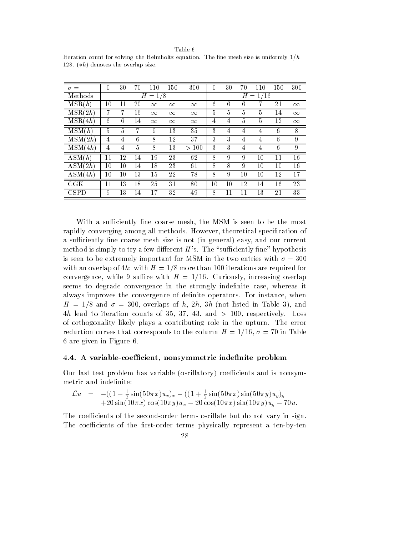iteration count for solving the Helmholtz equation- for the Helmholtz experience is uniformly for 128. (\*h) denotes the overlap size.

| $\sigma =$  | 0  | 30 | 70 | 110      | 150      | 300      | 0            | 30 | 70 | 110 | 150 | 300      |
|-------------|----|----|----|----------|----------|----------|--------------|----|----|-----|-----|----------|
| Methods     |    |    | Н  | $=1/8$   |          |          | $=1/16$<br>Н |    |    |     |     |          |
| MSR(h)      | 10 | 11 | 20 | $\infty$ | $\infty$ | $\infty$ | 6            | 6  | 6  |     | 21  | $\infty$ |
| MSR(2h)     |    |    | 16 | $\infty$ | $\infty$ | $\infty$ | 5            | 5  | 5  | 5   | 14  | $\infty$ |
| MSR(4h)     | 6  | 6  | 14 | $\infty$ | $\infty$ | $\infty$ | 4            | 4  | 5  | 5   | 12  | $\infty$ |
| MSM(h)      | 5  | 5  | 7  | 9        | 13       | 35       | 3            | 4  | 4  | 4   | 6   | 8        |
| MSM(2h)     | 4  | 4  | 6  | 8        | 12       | 37       | 3            | 3  | 4  | 4   | 6   | 9        |
| MSM(4h)     | 4  | 4  | 5  | 8        | 13       | >100     | 3            | 3  | 4  | 4   | 6   | 9        |
| ASM(h)      | 11 | 12 | 14 | 19       | 23       | 62       | 8            | 9  | 9  | 10  | 11  | 16       |
| ASM(2h)     | 10 | 10 | 14 | 18       | 23       | 61       | 8            | 8  | 9  | 10  | 10  | 16       |
| ASM(4h)     | 10 | 10 | 13 | 15       | 22       | 78       | 8            | 9  | 10 | 10  | 12  | 17       |
| CGK         | 11 | 13 | 18 | 25       | 31       | 80       | 10           | 10 | 12 | 14  | 16  | 23       |
| <b>CSPD</b> | 9  | 13 | 14 | 17       | 32       | 49       | 8            | 11 | 11 | 13  | 21  | 33       |

With a sufficiently fine coarse mesh, the MSM is seen to be the most rapidly converging among all methods. However, theoretical specification of a sufficiently fine coarse mesh size is not (in general) easy, and our current method is simply to try a few di-erent H
s The suciently ne hypothesis is seen to be extremely important for MSM in the two entries with  $\sigma = 300$ with an overlap of 4h: with  $H = 1/8$  more than 100 iterations are required for convergence, while 9 suffice with  $H = 1/16$ . Curiously, increasing overlap seems to degrade convergence in the strongly indefinite case, whereas it always improves the convergence of definite operators. For instance, when  $H = 1/8$  and  $\sigma = 300$ , overlaps of h, 2h, 3h (not listed in Table 3), and 4h lead to iteration counts of 35, 37, 43, and  $> 100$ , respectively. Loss of orthogonality likely plays a contributing role in the upturn The error reduction curves that corresponds to the column  $H = 1/16$ ,  $\sigma = 70$  in Table 6 are given in Figure 6.

# 4.4. A variable-coefficient, nonsymmetric indefinite problem

Our last test problem has variable (oscillatory) coefficients and is nonsymmetric and indefinite:

$$
\mathcal{L}u = -((1 + \frac{1}{2}\sin(50\pi x)u_x)_x - ((1 + \frac{1}{2}\sin(50\pi x)\sin(50\pi y)u_y)_y + 20\sin(10\pi x)\cos(10\pi y)u_x - 20\cos(10\pi x)\sin(10\pi y)u_y - 70u.
$$

The coefficients of the second-order terms oscillate but do not vary in sign. The coefficients of the first-order terms physically represent a ten-by-ten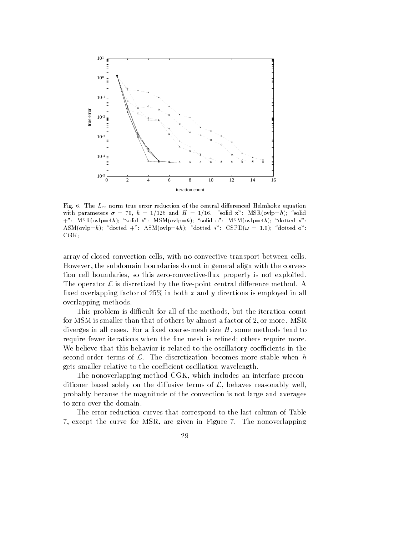

Fig- - The L norm true error reduction of the central dierenced Helmholtz equation with parameters  $\alpha$  ,  $\alpha$  ,  $\beta$  ,  $\beta$  ,  $\beta$  ,  $\beta$  ,  $\beta$  ,  $\beta$  ,  $\beta$  ,  $\beta$  ,  $\beta$  ,  $\beta$  ,  $\beta$  ,  $\beta$  ,  $\beta$  ,  $\beta$  ,  $\beta$  ,  $\beta$  ,  $\beta$  ,  $\beta$  ,  $\beta$  ,  $\beta$  ,  $\beta$  ,  $\beta$  ,  $\beta$  ,  $\beta$  ,  $\beta$  ,  $\beta$  ,  $\beta$  ,  $\$  $+$  MSR(ovlp=4 $\hbar$ ); solid \* MSM(ovlp= $\hbar$ ); solid o MSM(ovlp=4 $\hbar$ ); dotted x  $\cdot$  $\text{ASM}(\text{ovlp}=n);$  adotted  $+$  .  $\text{ASM}(\text{ovlp}=4n);$  adotted  $*$  .  $\text{CSPD}(\omega=1.0);$  adotted of :  $CGK;$ 

array of closed convection cells, with no convective transport between cells. However the subdomain boundaries do not in general align with the convec tion cell boundaries, so this zero-convective-flux property is not exploited. The operator  $\mathcal L$  is discretized by the five-point central difference method. A fixed overlapping factor of 25% in both x and y directions is employed in all overlapping methods

This problem is difficult for all of the methods, but the iteration count for MSM is smaller than that of others by almost a factor of 2, or more.  $\operatorname{MSR}$ diverges in all cases. For a fixed coarse-mesh size  $H$ , some methods tend to require fewer iterations when the fine mesh is refined; others require more. We believe that this behavior is related to the oscillatory coefficients in the second-order terms of  ${\mathcal L}.$  The discretization becomes more stable when  $h$ gets smaller relative to the coefficient oscillation wavelength.

The nonoverlapping method CGK, which includes an interface preconditioner based solely on the diffusive terms of  $\mathcal{L}$ , behaves reasonably well, probably because the magnitude of the convection is not large and averages to zero over the domain

The error reduction curves that correspond to the last column of Table 7, except the curve for MSR, are given in Figure 7. The nonoverlapping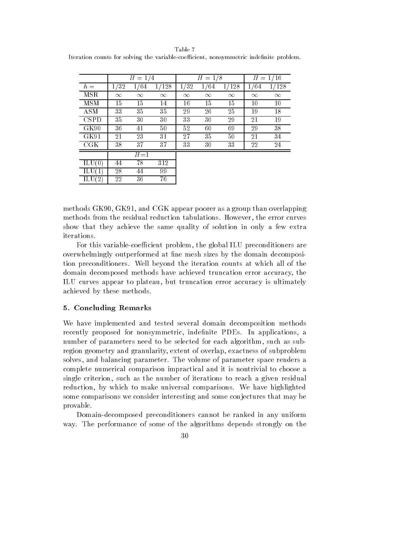Iteration counts for solving the variable-coefficient, nonsymmetric indefinite problem.

|                         | $H = 1/4$ |          |          |          | $H = 1/8$ | $H = 1/16$ |          |          |
|-------------------------|-----------|----------|----------|----------|-----------|------------|----------|----------|
| $h =$                   | 1/32      | 1/64     | 1/128    | 1/32     | 1/64      | 1/128      | 1/64     | 1/128    |
| MSR                     | $\infty$  | $\infty$ | $\infty$ | $\infty$ | $\infty$  | $\infty$   | $\infty$ | $\infty$ |
| MSM                     | 15        | 15       | 14       | 16       | 15        | 15         | 10       | 10       |
| <b>ASM</b>              | 33        | 35       | 35       | 29       | 26        | 25         | 19       | 18       |
| <b>CSPD</b>             | 35        | 30       | 30       | 33       | 30        | 29         | 21       | 19       |
| GK90                    | 36        | 41       | 50       | 52       | 60        | 69         | 29       | 38       |
| GK91                    | 21        | 23       | 31       | 27       | 35        | 50         | 21       | 34       |
| C G K                   | 38        | 37       | 37       | 33       | 30        | 33         | 22       | 24       |
|                         |           | $H = 1$  |          |          |           |            |          |          |
| ILU(0)                  | 44        | 78       | 312      |          |           |            |          |          |
| НU                      | 28        | 44       | 99       |          |           |            |          |          |
| $^{^{\prime}2)}$<br>ILU | 22        | 36       | 76       |          |           |            |          |          |

methods GK90, GK91, and CGK appear poorer as a group than overlapping methods from the residual reduction tabulations. However, the error curves show that they achieve the same quality of solution in only a few extra iterations

For this variable-coefficient problem, the global ILU preconditioners are overwhelmingly outperformed at fine mesh sizes by the domain decomposition preconditioners. Well beyond the iteration counts at which all of the domain decomposed methods have achieved truncation error accuracy the ILU curves appear to plateau, but truncation error accuracy is ultimately achieved by these methods

# Concluding Remarks

We have implemented and tested several domain decomposition methods recently proposed for nonsymmetric, indefinite PDEs. In applications, a number of parameters need to be selected for each algorithm, such as subregion geometry and granularity, extent of overlap, exactness of subproblem solves, and balancing parameter. The volume of parameter space renders a complete numerical comparison impractical and it is nontrivial to choose a single criterion, such as the number of iterations to reach a given residual reduction, by which to make universal comparisons. We have highlighted some comparisons we consider interesting and some conjectures that may be provable

Domain-decomposed preconditioners cannot be ranked in any uniform way. The performance of some of the algorithms depends strongly on the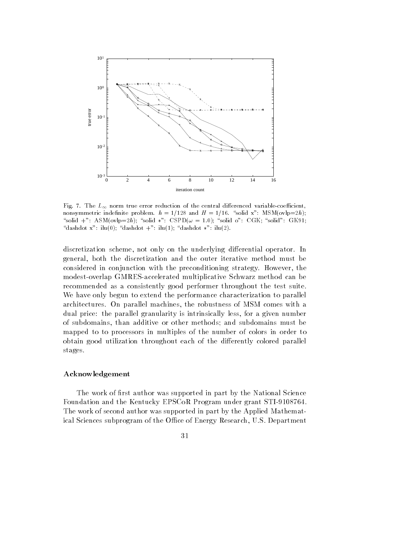

Fig- - The L norm true error reduction of the central dierenced variablecoecient nonsymmetric indenite problem- <sup>h</sup> and <sup>H</sup> - solid x MSM
ovlph solid  $+$  ASM(ovip=2n); solid \* CSPD( $\omega = 1.0$ ); solid of UGK; solid GK91; "dashdot x": llu(0); "dashdot +": llu(1); "dashdot \*": llu(2).

discretization scheme not only on the underlying di-erential operator In general, both the discretization and the outer iterative method must be considered in conjunction with the preconditioning strategy. However, the modest-overlap GMRES-accelerated multiplicative Schwarz method can be recommended as a consistently good performer throughout the test suite We have only begun to extend the performance characterization to parallel architectures. On parallel machines, the robustness of MSM comes with a dual price: the parallel granularity is intrinsically less, for a given number of subdomains, than additive or other methods; and subdomains must be mapped to to processors in multiples of the number of colors in order to obtain good utilization throughout each of the di-erently colored parallel stages

#### Acknowledgement

The work of first author was supported in part by the National Science Foundation and the Kentucky EPSCoR Program under grant STI The work of second author was supported in part by the Applied Mathemat ical Sciences subprogram of the Office of Energy Research, U.S. Department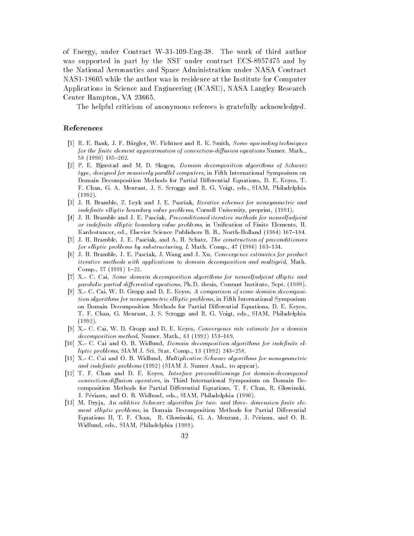of Energy, under Contract W-31-109-Eng-38. The work of third author was supported in part by the NSF under contract ECS-8957475 and by the National Aeronautics and Space Administration under NASA Contract NAS1-18605 while the author was in residence at the Institute for Computer Applications in Science and Engineering (ICASE), NASA Langley Research Center Hampton, VA 23665.

The helpful criticism of anonymous referees is gratefully acknowledged

#### References

- R- E- Bank J- F- Burgler W- Fichtner and R- K- Smith Some upwinding techniques for the nite element approximation of convectiondi-usion equations Numer- Math-  $58(1990) 185 - 202.$
- P- E- Bjrstad and M- D- Skogen Domain decomposition algorithms of Schwarz type, designed for massively parallel computers, in Fifth International Symposium on Domain Decomposition Methods for Partial Dierential Equations D- E- Keyes T-F- Chan G- A- Meurant J- S- Scroggs and R- G- Voigt eds- SIAM Philadelphia  $(1992)$ . -
- , a legen and J-level and J-level iterative schemes for the schemes for the schemes for the schemes of the sch *indefinite elliptic boundary value problems*, Cornell University, preprint,  $(1991)$ .
- , and and the state and the state methods for nonselfading iterative methods for nonselfadjoint and the state o or indefinite elliptic boundary value problems, in Unification of Finite Elements, H. Kardestuncer ed- Elsevier Science Publishers B- B- NorthHolland 
 -
- $\Box$  H-construction of precondition of precondition of precondition of precondition of precondition of preconditions of precision of precision of precision of precision of precision of precision of precision of precision  $\blacksquare$  . The electron by substructuring in the substructuring I Mathematic I Mathematic I Mathematic I Mathematic I Ma
- J- H- Bramble J- E- Pasciak J- Wang and J- Xu Convergence estimates for product iterative methods with applications to domain decomposition and multigrid, Math. Comp- 
 -
- X- C- Cai Some domain decomposition algorithms for nonselfadjoint el liptic and parabolic partial dierential equations Ph thesis Courant Institute Sept-. . . . . . .
- X- C- Cai W- D- Gropp and D- E- Keyes A comparison of some domain decomposi tion algorithms for nonsymmetric elliptic problems, in Fifth International Symposium on e consume a county success for Character and Arthur Antichine Equations D-1 and Arty 2011 T-Chan G-Chan G-Chan G-Chan G-Chan G-Chan G-Chan G-Chan G-Chan G-Chan G-Chan G-Chan G-Chan G-Chan G-Chan G-Chan G-Chan G-Chan G-Chan G-Chan G-Chan G-Chan G-Chan G-Chan G-Chan G-Chan G-Chan G-Chan G-Chan G-Chan G-Chan G-Cha . . . . . *.* .
- X- C- Cai W- D- Gropp and D- E- Keyes Convergence rate estimate for a domain assembly the component of the second the second  $\alpha$  and  $\alpha$  and  $\alpha$
- $\blacksquare$  . The case of indentity for indentity for indentity  $\blacksquare$ liptic problems security and the state of the state of the state of the state of the state of the state of the
- , and one of the mandator community for nonsymmetricative schwarz and given government of and indential and independent problems in the contract of the contract of the contract of the contract of the c
- T- F- Chan and D- E- Keyes Interface preconditionings for domaindecomposed convectiondi-usion operators in Third International Symposium on Domain De composition Methods for Partial Dierential Equations T- F- Chan R- Glowinski J- Periaux and O- B- Widlund eds- SIAM Philadelphia 
-
- M- Dryja An additive Schwarz algorithm for two and three dimension nite ele ment elliptic problems, in Domain Decomposition Methods for Partial Differential Equations II T- F- Chan R- Glowinski G- A- Meurant J- Periaux and O- B-Widlund eds- SIAM Philadelphia 
-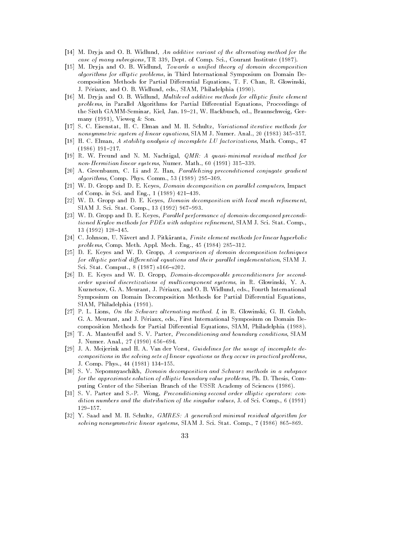- M- Dryja and O- B- Widlund An additive variant of the alternating method for the case of many subregions, who case when he compromised a moment institute (as a f
- M- Dryja and O- B- Widlund Towards a unied theory of domain decomposition algorithms for elliptic problems, in Third International Symposium on Domain Decomposition Methods for Partial Dierential Equations T- F- Chan R- Glowinski J- Periaux and O- B- Widlund eds- SIAM Philadelphia 
-
- , and with the order of the contract methods for elements for elements  $f$  and  $f$  and  $f$  and  $f$  and  $f$ problems, in Parallel Algorithms for Partial Differential Equations, Proceedings of the Sixth Gammas Community Sixth Community Community Community Community Community Community many  $(1991)$ , Vieweg & Son.
- S- C- Eisenstat H- C- Elman and M- H- Schultz Variational iterative methods for nonsymmetric system of linear equations is a second or a matter common as faces for a second
- ity and a stability and income a stability of incomplete Mathematical Complete Lucius Mathematics Mathematics  $(1986)$  191-217.
- R- W- Freund and N- M- Nachtigal QMR A quasiminimal residual method for ..... we arrive that the contract of the contract the contract of the second contract of the second second second
- A- Greenbaum C- Li and Z- Han Paral lelizing preconditioned conjugate gradient algorithms Completely at Common to the Complete Complete Complete Complete Complete Complete Complete Complete
- W- D- Gropp and D- E- Keyes Domain decomposition on paral lel computers Impact and complete the complete strip of the strip of the strip of the strip of the strip of the strip of the strip o
- re and D-start and D-start mesh renewed to the composition with local mesh resources and the contract of Simple the state-state of the state of the state of the state of the state of the state of the state of the st
- W- D- Gropp and D- E- Keyes Paral lel performance of domaindecomposed precondi tioned Krylov methods for PDEs with adaptive renement SIAM J- Sci- Stat- Comp- 13 (1992) 128-145.
- C- Johnson U- Navert and J- Pitkaranta Finite element methods for linear hyperbolic problems Comp- Meth- Appl- Mech- Eng- 
 -
- D- E- Keyes and W- D- Gropp A comparison of domain decomposition techniques for el liptic partial di-erential equations and their paral lel implementation SIAM J-Sci- Stat- Comput- 
 s s-
- D- E- Keyes and W- D- Gropp Domaindecomposable preconditioners for second order upwinder and discretizations of multicomponent systems in R-- was made an R-- In R-Kuznetsov G- A- Meurant J- Periaux and O- B- Widlund eds- Fourth International Symposium on Domain Decomposition Methods for Partial Differential Equations, SIAM, Philadelphia (1991).
- P- L- Lions On the Schwarz alternating method I in R- Glowinski G- H- Golub G- A- Meurant and J- Periaux eds- First International Symposium on Domain De composition Methods for Partial Differential Equations, SIAM, Philadelphia (1988).
- , and seconditions and state and and and boundary conditioning and boundary conditions states and boundary con J- Numer- Anal- 
 -
- J- A- Meijerink and H- A- Van der Vorst Guidelines for the usage of incomplete de compositions in the solving sets of linear equations as they occur in practical problems J- Comp- Phys- 
 -
- S- V- Nepomnyaschikh Domain decomposition and Schwarz methods in a subspace for the approximate solution of el liptic boundary value problems Ph- D- Thesis Com puting Center of the Siberian Branch of the USSR Academy of Sciences (1986).
- S- V- Parter and S-P- Wong Preconditioning second order el liptic operators con dition numbers and the distribution of the singular values J- of Sci- Comp-  $129 - 157.$
- is a sale minimal and minimal residual residual residual residual residual algorithm for algorithm for solving nonsymmetric linear systems  $\mathcal{S}$  and  $\mathcal{S}$  are symmetric linear systems of  $\mathcal{S}$